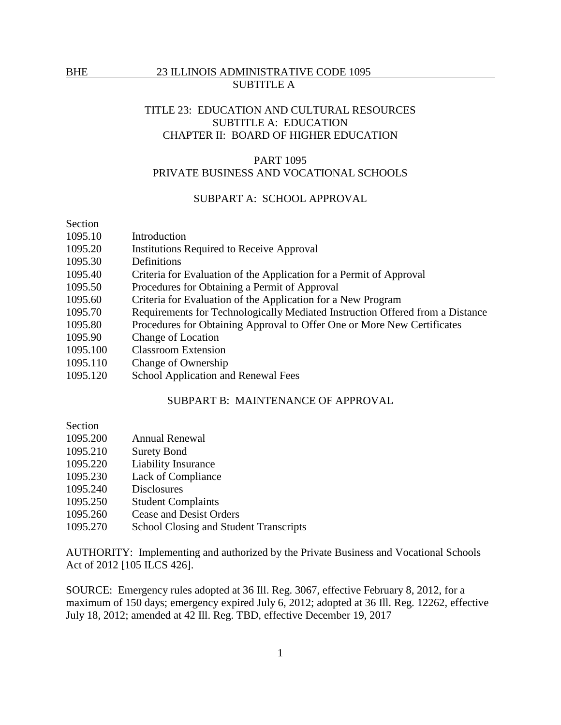# TITLE 23: EDUCATION AND CULTURAL RESOURCES SUBTITLE A: EDUCATION CHAPTER II: BOARD OF HIGHER EDUCATION

### PART 1095

# PRIVATE BUSINESS AND VOCATIONAL SCHOOLS

## SUBPART A: SCHOOL APPROVAL

# Section

- 1095.10 Introduction
- 1095.20 Institutions Required to Receive Approval
- 1095.30 Definitions
- 1095.40 Criteria for Evaluation of the Application for a Permit of Approval
- 1095.50 Procedures for Obtaining a Permit of Approval
- 1095.60 Criteria for Evaluation of the Application for a New Program
- 1095.70 Requirements for Technologically Mediated Instruction Offered from a Distance
- 1095.80 Procedures for Obtaining Approval to Offer One or More New Certificates
- 1095.90 Change of Location
- 1095.100 Classroom Extension
- 1095.110 Change of Ownership
- 1095.120 School Application and Renewal Fees

### SUBPART B: MAINTENANCE OF APPROVAL

## Section

- 1095.200 Annual Renewal
- 1095.210 Surety Bond
- 1095.220 Liability Insurance
- 1095.230 Lack of Compliance
- 1095.240 Disclosures
- 1095.250 Student Complaints
- 1095.260 Cease and Desist Orders
- 1095.270 School Closing and Student Transcripts

AUTHORITY: Implementing and authorized by the Private Business and Vocational Schools Act of 2012 [105 ILCS 426].

SOURCE: Emergency rules adopted at 36 Ill. Reg. 3067, effective February 8, 2012, for a maximum of 150 days; emergency expired July 6, 2012; adopted at 36 Ill. Reg. 12262, effective July 18, 2012; amended at 42 Ill. Reg. TBD, effective December 19, 2017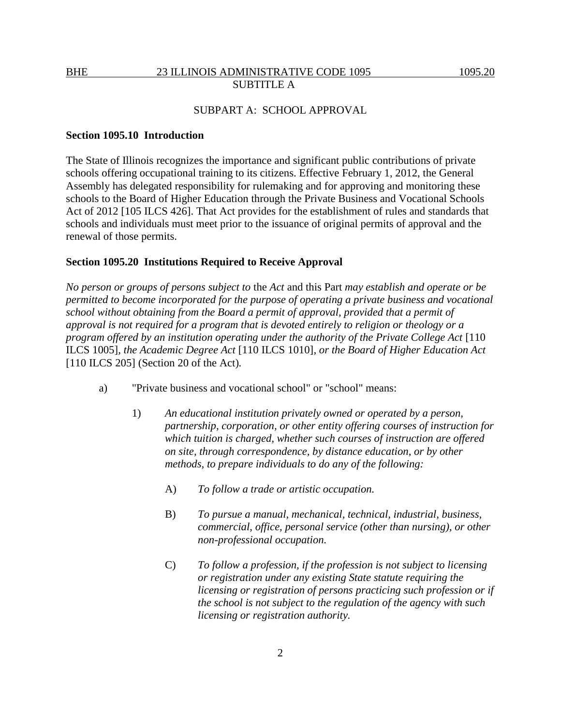## SUBPART A: SCHOOL APPROVAL

### **Section 1095.10 Introduction**

The State of Illinois recognizes the importance and significant public contributions of private schools offering occupational training to its citizens. Effective February 1, 2012, the General Assembly has delegated responsibility for rulemaking and for approving and monitoring these schools to the Board of Higher Education through the Private Business and Vocational Schools Act of 2012 [105 ILCS 426]. That Act provides for the establishment of rules and standards that schools and individuals must meet prior to the issuance of original permits of approval and the renewal of those permits.

### **Section 1095.20 Institutions Required to Receive Approval**

*No person or groups of persons subject to* the *Act* and this Part *may establish and operate or be permitted to become incorporated for the purpose of operating a private business and vocational school without obtaining from the Board a permit of approval, provided that a permit of approval is not required for a program that is devoted entirely to religion or theology or a program offered by an institution operating under the authority of the Private College Act* [110 ILCS 1005]*, the Academic Degree Act* [110 ILCS 1010]*, or the Board of Higher Education Act*  [110 ILCS 205] (Section 20 of the Act)*.*

- a) "Private business and vocational school" or "school" means:
	- 1) *An educational institution privately owned or operated by a person, partnership, corporation, or other entity offering courses of instruction for which tuition is charged, whether such courses of instruction are offered on site, through correspondence, by distance education, or by other methods, to prepare individuals to do any of the following:*
		- A) *To follow a trade or artistic occupation.*
		- B) *To pursue a manual, mechanical, technical, industrial, business, commercial, office, personal service (other than nursing), or other non-professional occupation.*
		- C) *To follow a profession, if the profession is not subject to licensing or registration under any existing State statute requiring the licensing or registration of persons practicing such profession or if the school is not subject to the regulation of the agency with such licensing or registration authority.*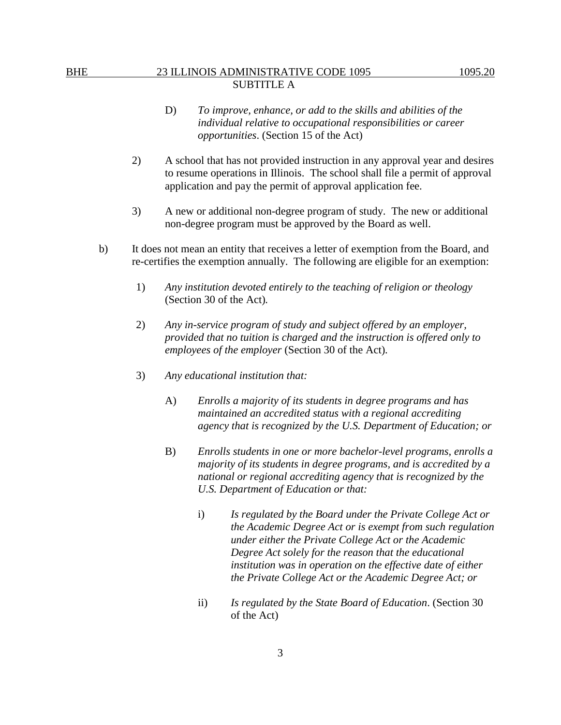- D) *To improve, enhance, or add to the skills and abilities of the individual relative to occupational responsibilities or career opportunities*. (Section 15 of the Act)
- 2) A school that has not provided instruction in any approval year and desires to resume operations in Illinois. The school shall file a permit of approval application and pay the permit of approval application fee.
- 3) A new or additional non-degree program of study. The new or additional non-degree program must be approved by the Board as well.
- b) It does not mean an entity that receives a letter of exemption from the Board, and re-certifies the exemption annually. The following are eligible for an exemption:
	- 1) *Any institution devoted entirely to the teaching of religion or theology*  (Section 30 of the Act)*.*
	- 2) *Any in-service program of study and subject offered by an employer, provided that no tuition is charged and the instruction is offered only to employees of the employer* (Section 30 of the Act)*.*
	- 3) *Any educational institution that:*
		- A) *Enrolls a majority of its students in degree programs and has maintained an accredited status with a regional accrediting agency that is recognized by the U.S. Department of Education; or*
		- B) *Enrolls students in one or more bachelor-level programs, enrolls a majority of its students in degree programs, and is accredited by a national or regional accrediting agency that is recognized by the U.S. Department of Education or that:*
			- i) *Is regulated by the Board under the Private College Act or the Academic Degree Act or is exempt from such regulation under either the Private College Act or the Academic Degree Act solely for the reason that the educational institution was in operation on the effective date of either the Private College Act or the Academic Degree Act; or*
			- ii) *Is regulated by the State Board of Education*. (Section 30 of the Act)

3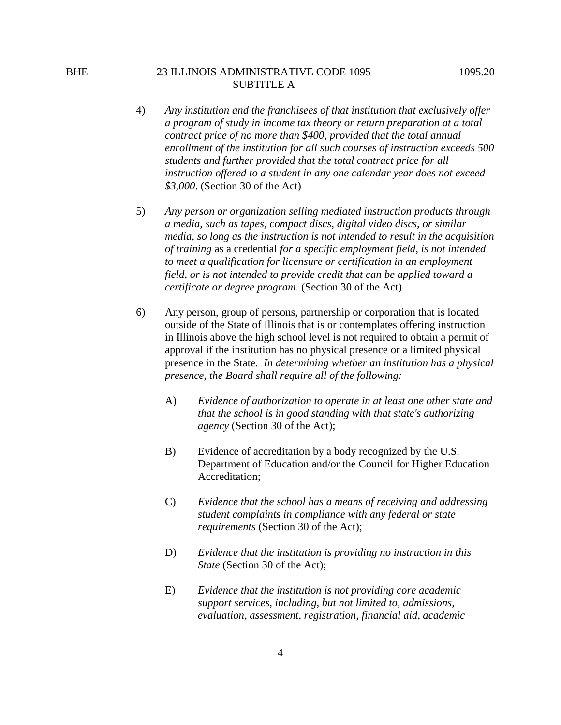- 4) *Any institution and the franchisees of that institution that exclusively offer a program of study in income tax theory or return preparation at a total contract price of no more than \$400, provided that the total annual enrollment of the institution for all such courses of instruction exceeds 500 students and further provided that the total contract price for all instruction offered to a student in any one calendar year does not exceed \$3,000*. (Section 30 of the Act)
- 5) *Any person or organization selling mediated instruction products through a media, such as tapes, compact discs, digital video discs, or similar media, so long as the instruction is not intended to result in the acquisition of training* as a credential *for a specific employment field, is not intended to meet a qualification for licensure or certification in an employment field, or is not intended to provide credit that can be applied toward a certificate or degree program*. (Section 30 of the Act)
- 6) Any person, group of persons, partnership or corporation that is located outside of the State of Illinois that is or contemplates offering instruction in Illinois above the high school level is not required to obtain a permit of approval if the institution has no physical presence or a limited physical presence in the State. *In determining whether an institution has a physical presence, the Board shall require all of the following:* 
	- A) *Evidence of authorization to operate in at least one other state and that the school is in good standing with that state's authorizing agency* (Section 30 of the Act);
	- B) Evidence of accreditation by a body recognized by the U.S. Department of Education and/or the Council for Higher Education Accreditation;
	- C) *Evidence that the school has a means of receiving and addressing student complaints in compliance with any federal or state requirements* (Section 30 of the Act);
	- D) *Evidence that the institution is providing no instruction in this State* (Section 30 of the Act);
	- E) *Evidence that the institution is not providing core academic support services, including, but not limited to, admissions, evaluation, assessment, registration, financial aid, academic*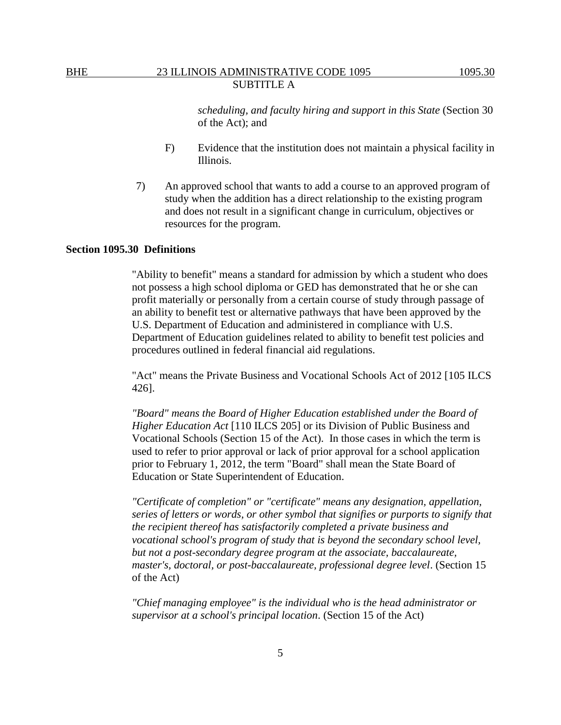*scheduling, and faculty hiring and support in this State* (Section 30 of the Act); and

- F) Evidence that the institution does not maintain a physical facility in Illinois.
- 7) An approved school that wants to add a course to an approved program of study when the addition has a direct relationship to the existing program and does not result in a significant change in curriculum, objectives or resources for the program.

### **Section 1095.30 Definitions**

"Ability to benefit" means a standard for admission by which a student who does not possess a high school diploma or GED has demonstrated that he or she can profit materially or personally from a certain course of study through passage of an ability to benefit test or alternative pathways that have been approved by the U.S. Department of Education and administered in compliance with U.S. Department of Education guidelines related to ability to benefit test policies and procedures outlined in federal financial aid regulations.

"Act" means the Private Business and Vocational Schools Act of 2012 [105 ILCS 426].

*"Board" means the Board of Higher Education established under the Board of Higher Education Act* [110 ILCS 205] or its Division of Public Business and Vocational Schools (Section 15 of the Act). In those cases in which the term is used to refer to prior approval or lack of prior approval for a school application prior to February 1, 2012, the term "Board" shall mean the State Board of Education or State Superintendent of Education.

*"Certificate of completion" or "certificate" means any designation, appellation, series of letters or words, or other symbol that signifies or purports to signify that the recipient thereof has satisfactorily completed a private business and vocational school's program of study that is beyond the secondary school level, but not a post-secondary degree program at the associate, baccalaureate, master's, doctoral, or post-baccalaureate, professional degree level*. (Section 15 of the Act)

*"Chief managing employee" is the individual who is the head administrator or supervisor at a school's principal location*. (Section 15 of the Act)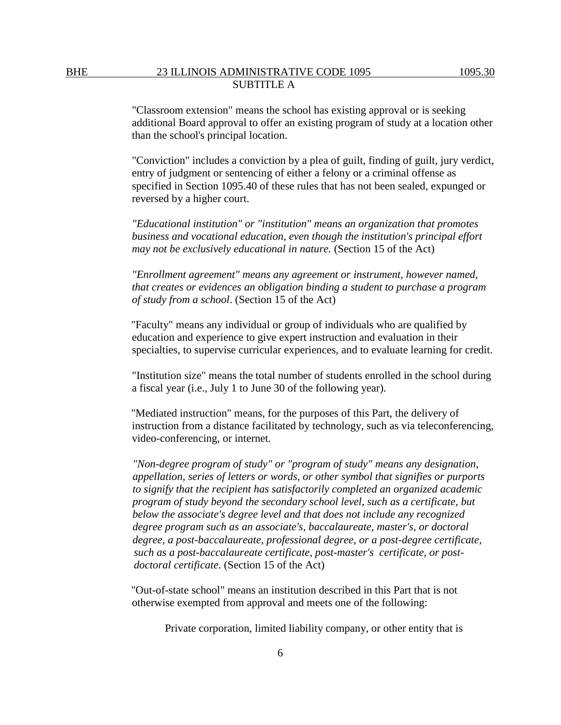"Classroom extension" means the school has existing approval or is seeking additional Board approval to offer an existing program of study at a location other than the school's principal location.

"Conviction" includes a conviction by a plea of guilt, finding of guilt, jury verdict, entry of judgment or sentencing of either a felony or a criminal offense as specified in Section 1095.40 of these rules that has not been sealed, expunged or reversed by a higher court.

*"Educational institution" or "institution" means an organization that promotes business and vocational education, even though the institution's principal effort may not be exclusively educational in nature.* (Section 15 of the Act)

*"Enrollment agreement" means any agreement or instrument, however named, that creates or evidences an obligation binding a student to purchase a program of study from a school*. (Section 15 of the Act)

"Faculty" means any individual or group of individuals who are qualified by education and experience to give expert instruction and evaluation in their specialties, to supervise curricular experiences, and to evaluate learning for credit.

"Institution size" means the total number of students enrolled in the school during a fiscal year (i.e., July 1 to June 30 of the following year).

"Mediated instruction" means, for the purposes of this Part, the delivery of instruction from a distance facilitated by technology, such as via teleconferencing, video-conferencing, or internet.

*"Non-degree program of study" or "program of study" means any designation, appellation, series of letters or words, or other symbol that signifies or purports to signify that the recipient has satisfactorily completed an organized academic program of study beyond the secondary school level, such as a certificate, but below the associate's degree level and that does not include any recognized degree program such as an associate's, baccalaureate, master's, or doctoral degree, a post-baccalaureate, professional degree, or a post-degree certificate, such as a post-baccalaureate certificate, post-master's certificate, or postdoctoral certificate*. (Section 15 of the Act)

"Out-of-state school" means an institution described in this Part that is not otherwise exempted from approval and meets one of the following:

Private corporation, limited liability company, or other entity that is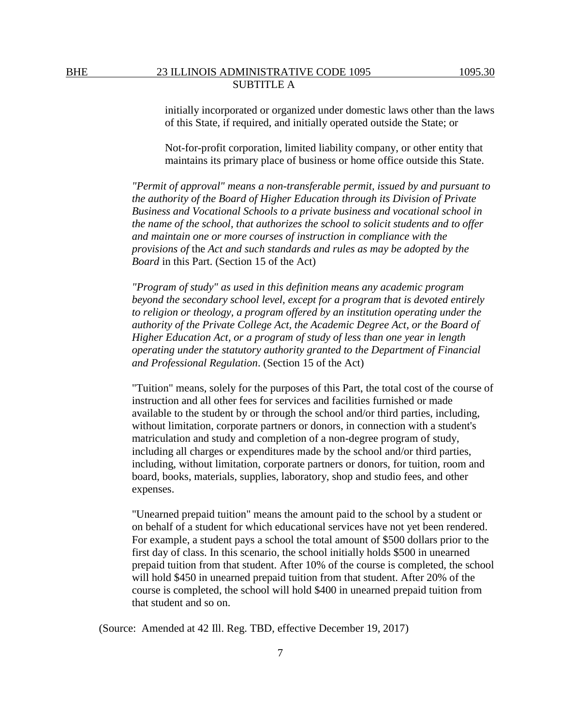initially incorporated or organized under domestic laws other than the laws of this State, if required, and initially operated outside the State; or

Not-for-profit corporation, limited liability company, or other entity that maintains its primary place of business or home office outside this State.

*"Permit of approval" means a non-transferable permit, issued by and pursuant to the authority of the Board of Higher Education through its Division of Private Business and Vocational Schools to a private business and vocational school in the name of the school, that authorizes the school to solicit students and to offer and maintain one or more courses of instruction in compliance with the provisions of* the *Act and such standards and rules as may be adopted by the Board* in this Part. (Section 15 of the Act)

*"Program of study" as used in this definition means any academic program beyond the secondary school level, except for a program that is devoted entirely to religion or theology, a program offered by an institution operating under the authority of the Private College Act, the Academic Degree Act, or the Board of Higher Education Act, or a program of study of less than one year in length operating under the statutory authority granted to the Department of Financial and Professional Regulation*. (Section 15 of the Act)

"Tuition" means, solely for the purposes of this Part, the total cost of the course of instruction and all other fees for services and facilities furnished or made available to the student by or through the school and/or third parties, including, without limitation, corporate partners or donors, in connection with a student's matriculation and study and completion of a non-degree program of study, including all charges or expenditures made by the school and/or third parties, including, without limitation, corporate partners or donors, for tuition, room and board, books, materials, supplies, laboratory, shop and studio fees, and other expenses.

"Unearned prepaid tuition" means the amount paid to the school by a student or on behalf of a student for which educational services have not yet been rendered. For example, a student pays a school the total amount of \$500 dollars prior to the first day of class. In this scenario, the school initially holds \$500 in unearned prepaid tuition from that student. After 10% of the course is completed, the school will hold \$450 in unearned prepaid tuition from that student. After 20% of the course is completed, the school will hold \$400 in unearned prepaid tuition from that student and so on.

(Source: Amended at 42 Ill. Reg. TBD, effective December 19, 2017)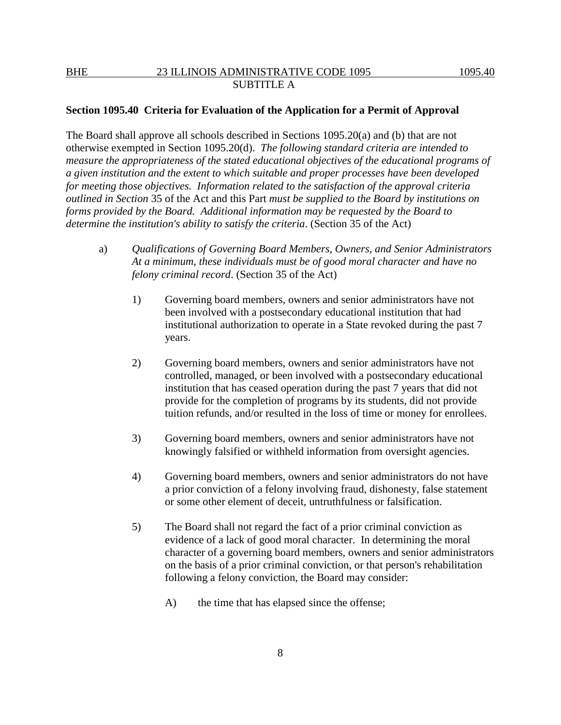### **Section 1095.40 Criteria for Evaluation of the Application for a Permit of Approval**

The Board shall approve all schools described in Sections 1095.20(a) and (b) that are not otherwise exempted in Section 1095.20(d). *The following standard criteria are intended to measure the appropriateness of the stated educational objectives of the educational programs of a given institution and the extent to which suitable and proper processes have been developed for meeting those objectives. Information related to the satisfaction of the approval criteria outlined in Section* 35 of the Act and this Part *must be supplied to the Board by institutions on forms provided by the Board. Additional information may be requested by the Board to determine the institution's ability to satisfy the criteria*. (Section 35 of the Act)

- a) *Qualifications of Governing Board Members, Owners, and Senior Administrators At a minimum, these individuals must be of good moral character and have no felony criminal record*. (Section 35 of the Act)
	- 1) Governing board members, owners and senior administrators have not been involved with a postsecondary educational institution that had institutional authorization to operate in a State revoked during the past 7 years.
	- 2) Governing board members, owners and senior administrators have not controlled, managed, or been involved with a postsecondary educational institution that has ceased operation during the past 7 years that did not provide for the completion of programs by its students, did not provide tuition refunds, and/or resulted in the loss of time or money for enrollees.
	- 3) Governing board members, owners and senior administrators have not knowingly falsified or withheld information from oversight agencies.
	- 4) Governing board members, owners and senior administrators do not have a prior conviction of a felony involving fraud, dishonesty, false statement or some other element of deceit, untruthfulness or falsification.
	- 5) The Board shall not regard the fact of a prior criminal conviction as evidence of a lack of good moral character. In determining the moral character of a governing board members, owners and senior administrators on the basis of a prior criminal conviction, or that person's rehabilitation following a felony conviction, the Board may consider:
		- A) the time that has elapsed since the offense;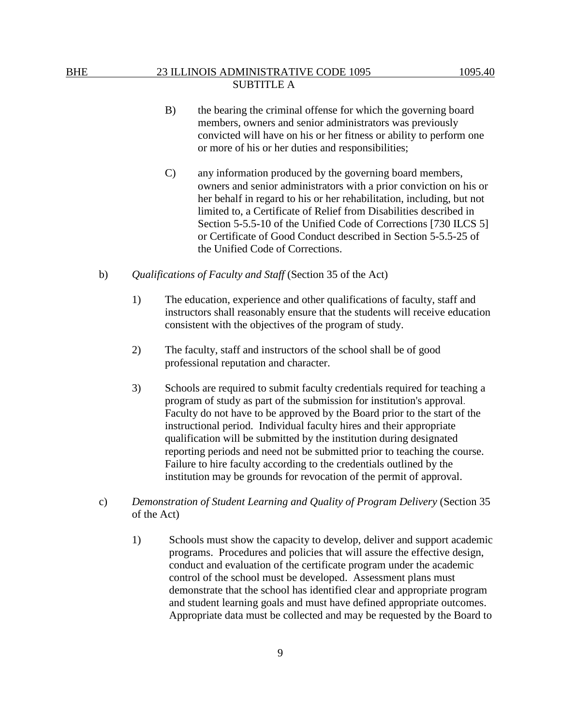- B) the bearing the criminal offense for which the governing board members, owners and senior administrators was previously convicted will have on his or her fitness or ability to perform one or more of his or her duties and responsibilities;
- C) any information produced by the governing board members, owners and senior administrators with a prior conviction on his or her behalf in regard to his or her rehabilitation, including, but not limited to, a Certificate of Relief from Disabilities described in Section 5-5.5-10 of the Unified Code of Corrections [730 ILCS 5] or Certificate of Good Conduct described in Section 5-5.5-25 of the Unified Code of Corrections.
- b) *Qualifications of Faculty and Staff* (Section 35 of the Act)
	- 1) The education, experience and other qualifications of faculty, staff and instructors shall reasonably ensure that the students will receive education consistent with the objectives of the program of study.
	- 2) The faculty, staff and instructors of the school shall be of good professional reputation and character.
	- 3) Schools are required to submit faculty credentials required for teaching a program of study as part of the submission for institution's approval. Faculty do not have to be approved by the Board prior to the start of the instructional period. Individual faculty hires and their appropriate qualification will be submitted by the institution during designated reporting periods and need not be submitted prior to teaching the course. Failure to hire faculty according to the credentials outlined by the institution may be grounds for revocation of the permit of approval.
- c) *Demonstration of Student Learning and Quality of Program Delivery* (Section 35 of the Act)
	- 1) Schools must show the capacity to develop, deliver and support academic programs. Procedures and policies that will assure the effective design, conduct and evaluation of the certificate program under the academic control of the school must be developed. Assessment plans must demonstrate that the school has identified clear and appropriate program and student learning goals and must have defined appropriate outcomes. Appropriate data must be collected and may be requested by the Board to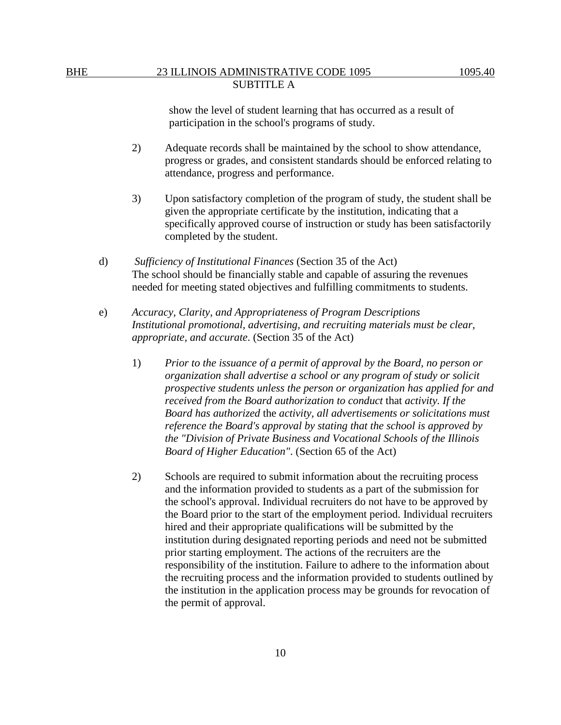show the level of student learning that has occurred as a result of participation in the school's programs of study.

- 2) Adequate records shall be maintained by the school to show attendance, progress or grades, and consistent standards should be enforced relating to attendance, progress and performance.
- 3) Upon satisfactory completion of the program of study, the student shall be given the appropriate certificate by the institution, indicating that a specifically approved course of instruction or study has been satisfactorily completed by the student.
- d) *Sufficiency of Institutional Finances* (Section 35 of the Act) The school should be financially stable and capable of assuring the revenues needed for meeting stated objectives and fulfilling commitments to students.
- e) *Accuracy, Clarity, and Appropriateness of Program Descriptions Institutional promotional, advertising, and recruiting materials must be clear, appropriate, and accurate*. (Section 35 of the Act)
	- 1) *Prior to the issuance of a permit of approval by the Board, no person or organization shall advertise a school or any program of study or solicit prospective students unless the person or organization has applied for and received from the Board authorization to conduct* that *activity. If the Board has authorized* the *activity, all advertisements or solicitations must reference the Board's approval by stating that the school is approved by the "Division of Private Business and Vocational Schools of the Illinois Board of Higher Education"*. (Section 65 of the Act)
	- 2) Schools are required to submit information about the recruiting process and the information provided to students as a part of the submission for the school's approval. Individual recruiters do not have to be approved by the Board prior to the start of the employment period. Individual recruiters hired and their appropriate qualifications will be submitted by the institution during designated reporting periods and need not be submitted prior starting employment. The actions of the recruiters are the responsibility of the institution. Failure to adhere to the information about the recruiting process and the information provided to students outlined by the institution in the application process may be grounds for revocation of the permit of approval.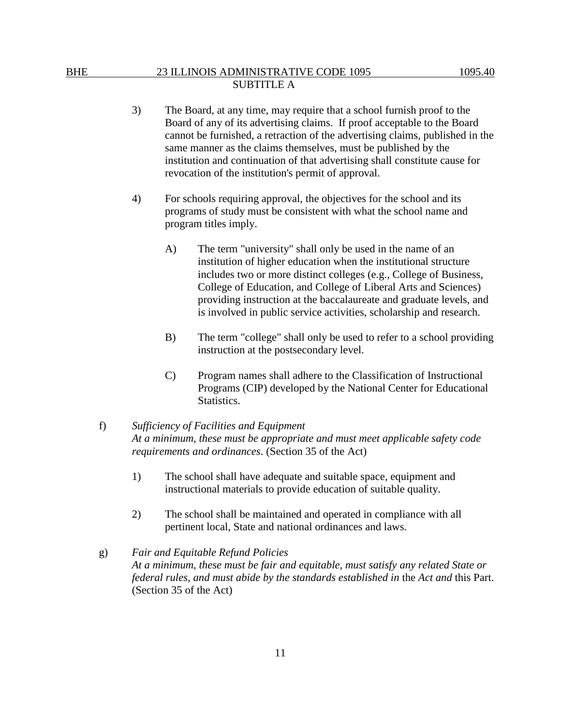- 3) The Board, at any time, may require that a school furnish proof to the Board of any of its advertising claims. If proof acceptable to the Board cannot be furnished, a retraction of the advertising claims, published in the same manner as the claims themselves, must be published by the institution and continuation of that advertising shall constitute cause for revocation of the institution's permit of approval.
- 4) For schools requiring approval, the objectives for the school and its programs of study must be consistent with what the school name and program titles imply.
	- A) The term "university" shall only be used in the name of an institution of higher education when the institutional structure includes two or more distinct colleges (e.g., College of Business, College of Education, and College of Liberal Arts and Sciences) providing instruction at the baccalaureate and graduate levels, and is involved in public service activities, scholarship and research.
	- B) The term "college" shall only be used to refer to a school providing instruction at the postsecondary level.
	- C) Program names shall adhere to the Classification of Instructional Programs (CIP) developed by the National Center for Educational Statistics.

## f) *Sufficiency of Facilities and Equipment At a minimum, these must be appropriate and must meet applicable safety code requirements and ordinances*. (Section 35 of the Act)

- 1) The school shall have adequate and suitable space, equipment and instructional materials to provide education of suitable quality.
- 2) The school shall be maintained and operated in compliance with all pertinent local, State and national ordinances and laws.

# g) *Fair and Equitable Refund Policies At a minimum, these must be fair and equitable, must satisfy any related State or federal rules, and must abide by the standards established in* the *Act and* this Part. (Section 35 of the Act)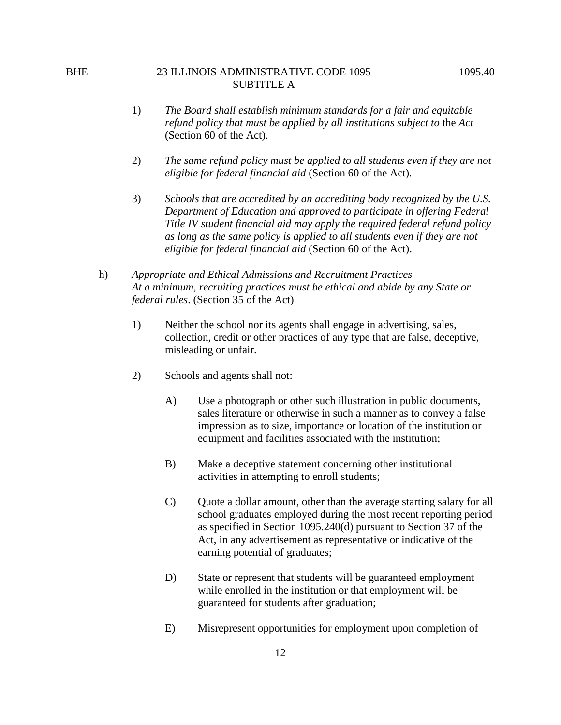- 1) *The Board shall establish minimum standards for a fair and equitable refund policy that must be applied by all institutions subject to* the *Act*  (Section 60 of the Act)*.*
- 2) *The same refund policy must be applied to all students even if they are not eligible for federal financial aid* (Section 60 of the Act)*.*
- 3) *Schools that are accredited by an accrediting body recognized by the U.S. Department of Education and approved to participate in offering Federal Title IV student financial aid may apply the required federal refund policy as long as the same policy is applied to all students even if they are not eligible for federal financial aid* (Section 60 of the Act).
- h) *Appropriate and Ethical Admissions and Recruitment Practices At a minimum, recruiting practices must be ethical and abide by any State or federal rules*. (Section 35 of the Act)
	- 1) Neither the school nor its agents shall engage in advertising, sales, collection, credit or other practices of any type that are false, deceptive, misleading or unfair.
	- 2) Schools and agents shall not:
		- A) Use a photograph or other such illustration in public documents, sales literature or otherwise in such a manner as to convey a false impression as to size, importance or location of the institution or equipment and facilities associated with the institution;
		- B) Make a deceptive statement concerning other institutional activities in attempting to enroll students;
		- C) Quote a dollar amount, other than the average starting salary for all school graduates employed during the most recent reporting period as specified in Section 1095.240(d) pursuant to Section 37 of the Act, in any advertisement as representative or indicative of the earning potential of graduates;
		- D) State or represent that students will be guaranteed employment while enrolled in the institution or that employment will be guaranteed for students after graduation;
		- E) Misrepresent opportunities for employment upon completion of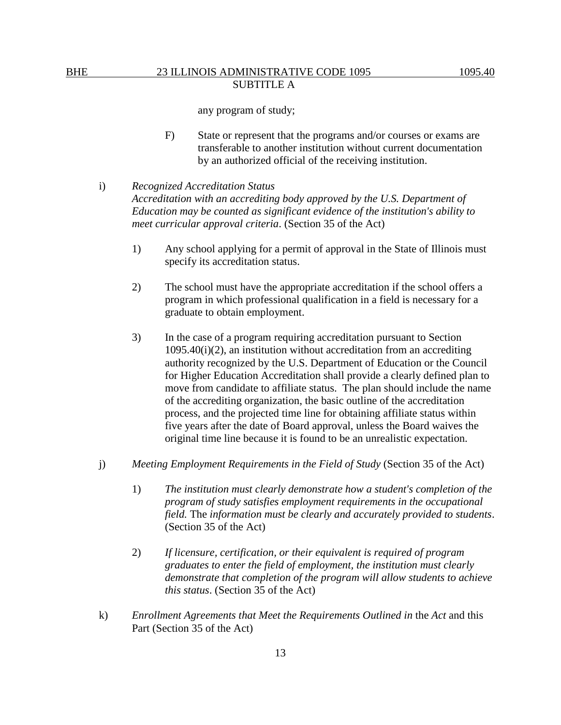any program of study;

F) State or represent that the programs and/or courses or exams are transferable to another institution without current documentation by an authorized official of the receiving institution.

# i) *Recognized Accreditation Status*

*Accreditation with an accrediting body approved by the U.S. Department of Education may be counted as significant evidence of the institution's ability to meet curricular approval criteria*. (Section 35 of the Act)

- 1) Any school applying for a permit of approval in the State of Illinois must specify its accreditation status.
- 2) The school must have the appropriate accreditation if the school offers a program in which professional qualification in a field is necessary for a graduate to obtain employment.
- 3) In the case of a program requiring accreditation pursuant to Section  $1095.40(i)(2)$ , an institution without accreditation from an accrediting authority recognized by the U.S. Department of Education or the Council for Higher Education Accreditation shall provide a clearly defined plan to move from candidate to affiliate status. The plan should include the name of the accrediting organization, the basic outline of the accreditation process, and the projected time line for obtaining affiliate status within five years after the date of Board approval, unless the Board waives the original time line because it is found to be an unrealistic expectation.
- j) *Meeting Employment Requirements in the Field of Study* (Section 35 of the Act)
	- 1) *The institution must clearly demonstrate how a student's completion of the program of study satisfies employment requirements in the occupational field.* The *information must be clearly and accurately provided to students*. (Section 35 of the Act)
	- 2) *If licensure, certification, or their equivalent is required of program graduates to enter the field of employment, the institution must clearly demonstrate that completion of the program will allow students to achieve this status*. (Section 35 of the Act)
- k) *Enrollment Agreements that Meet the Requirements Outlined in* the *Act* and this Part (Section 35 of the Act)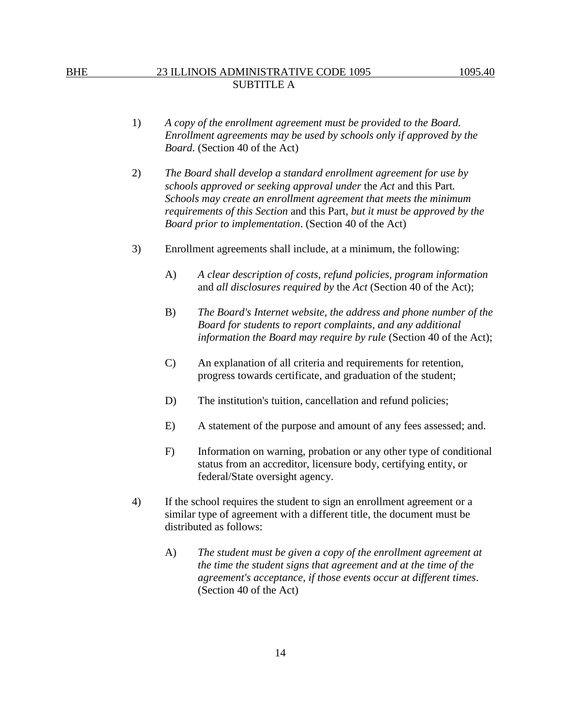- 1) *A copy of the enrollment agreement must be provided to the Board. Enrollment agreements may be used by schools only if approved by the Board.* (Section 40 of the Act)
- 2) *The Board shall develop a standard enrollment agreement for use by schools approved or seeking approval under* the *Act* and this Part*. Schools may create an enrollment agreement that meets the minimum requirements of this Section* and this Part*, but it must be approved by the Board prior to implementation*. (Section 40 of the Act)
- 3) Enrollment agreements shall include, at a minimum, the following:
	- A) *A clear description of costs, refund policies, program information* and *all disclosures required by* the *Act* (Section 40 of the Act);
	- B) *The Board's Internet website, the address and phone number of the Board for students to report complaints, and any additional information the Board may require by rule* (Section 40 of the Act);
	- C) An explanation of all criteria and requirements for retention, progress towards certificate, and graduation of the student;
	- D) The institution's tuition, cancellation and refund policies;
	- E) A statement of the purpose and amount of any fees assessed; and.
	- F) Information on warning, probation or any other type of conditional status from an accreditor, licensure body, certifying entity, or federal/State oversight agency.
- 4) If the school requires the student to sign an enrollment agreement or a similar type of agreement with a different title, the document must be distributed as follows:
	- A) *The student must be given a copy of the enrollment agreement at the time the student signs that agreement and at the time of the agreement's acceptance, if those events occur at different times*. (Section 40 of the Act)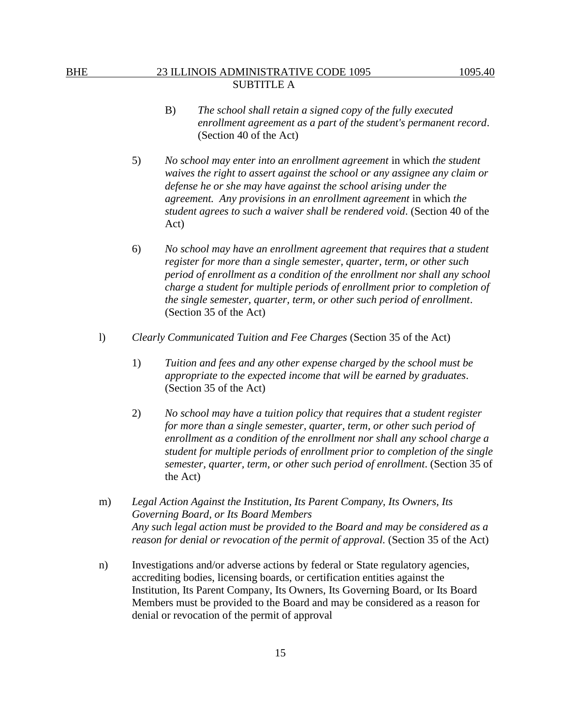- B) *The school shall retain a signed copy of the fully executed enrollment agreement as a part of the student's permanent record*. (Section 40 of the Act)
- 5) *No school may enter into an enrollment agreement* in which *the student waives the right to assert against the school or any assignee any claim or defense he or she may have against the school arising under the agreement. Any provisions in an enrollment agreement* in which *the student agrees to such a waiver shall be rendered void*. (Section 40 of the Act)
- 6) *No school may have an enrollment agreement that requires that a student register for more than a single semester, quarter, term, or other such period of enrollment as a condition of the enrollment nor shall any school charge a student for multiple periods of enrollment prior to completion of the single semester, quarter, term, or other such period of enrollment*. (Section 35 of the Act)
- l) *Clearly Communicated Tuition and Fee Charges* (Section 35 of the Act)
	- 1) *Tuition and fees and any other expense charged by the school must be appropriate to the expected income that will be earned by graduates*. (Section 35 of the Act)
	- 2) *No school may have a tuition policy that requires that a student register for more than a single semester, quarter, term, or other such period of enrollment as a condition of the enrollment nor shall any school charge a student for multiple periods of enrollment prior to completion of the single semester, quarter, term, or other such period of enrollment*. (Section 35 of the Act)
- m) *Legal Action Against the Institution, Its Parent Company, Its Owners, Its Governing Board, or Its Board Members Any such legal action must be provided to the Board and may be considered as a reason for denial or revocation of the permit of approval.* (Section 35 of the Act)
- n) Investigations and/or adverse actions by federal or State regulatory agencies, accrediting bodies, licensing boards, or certification entities against the Institution, Its Parent Company, Its Owners, Its Governing Board, or Its Board Members must be provided to the Board and may be considered as a reason for denial or revocation of the permit of approval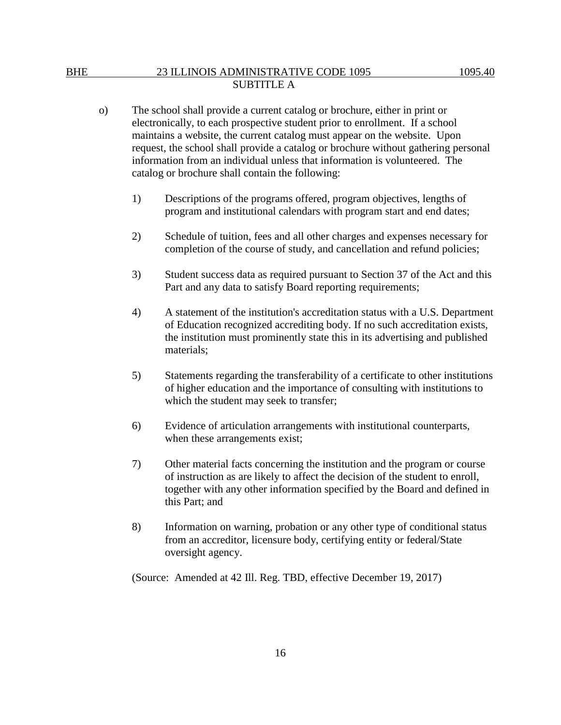- o) The school shall provide a current catalog or brochure, either in print or electronically, to each prospective student prior to enrollment. If a school maintains a website, the current catalog must appear on the website. Upon request, the school shall provide a catalog or brochure without gathering personal information from an individual unless that information is volunteered. The catalog or brochure shall contain the following:
	- 1) Descriptions of the programs offered, program objectives, lengths of program and institutional calendars with program start and end dates;
	- 2) Schedule of tuition, fees and all other charges and expenses necessary for completion of the course of study, and cancellation and refund policies;
	- 3) Student success data as required pursuant to Section 37 of the Act and this Part and any data to satisfy Board reporting requirements;
	- 4) A statement of the institution's accreditation status with a U.S. Department of Education recognized accrediting body. If no such accreditation exists, the institution must prominently state this in its advertising and published materials;
	- 5) Statements regarding the transferability of a certificate to other institutions of higher education and the importance of consulting with institutions to which the student may seek to transfer;
	- 6) Evidence of articulation arrangements with institutional counterparts, when these arrangements exist;
	- 7) Other material facts concerning the institution and the program or course of instruction as are likely to affect the decision of the student to enroll, together with any other information specified by the Board and defined in this Part; and
	- 8) Information on warning, probation or any other type of conditional status from an accreditor, licensure body, certifying entity or federal/State oversight agency.

(Source: Amended at 42 Ill. Reg. TBD, effective December 19, 2017)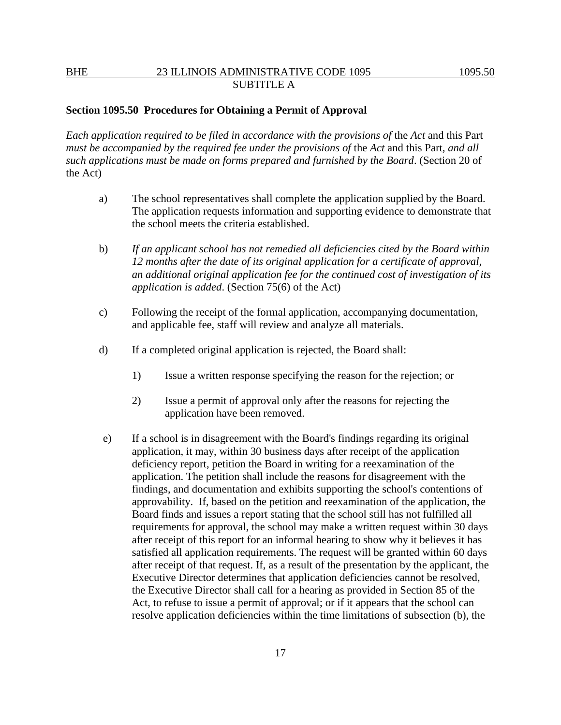### **Section 1095.50 Procedures for Obtaining a Permit of Approval**

*Each application required to be filed in accordance with the provisions of the Act and this Part must be accompanied by the required fee under the provisions of the Act and this Part, and all such applications must be made on forms prepared and furnished by the Board*. (Section 20 of the Act)

- a) The school representatives shall complete the application supplied by the Board. The application requests information and supporting evidence to demonstrate that the school meets the criteria established.
- b) *If an applicant school has not remedied all deficiencies cited by the Board within 12 months after the date of its original application for a certificate of approval, an additional original application fee for the continued cost of investigation of its application is added*. (Section 75(6) of the Act)
- c) Following the receipt of the formal application, accompanying documentation, and applicable fee, staff will review and analyze all materials.
- d) If a completed original application is rejected, the Board shall:
	- 1) Issue a written response specifying the reason for the rejection; or
	- 2) Issue a permit of approval only after the reasons for rejecting the application have been removed.
- e) If a school is in disagreement with the Board's findings regarding its original application, it may, within 30 business days after receipt of the application deficiency report, petition the Board in writing for a reexamination of the application. The petition shall include the reasons for disagreement with the findings, and documentation and exhibits supporting the school's contentions of approvability. If, based on the petition and reexamination of the application, the Board finds and issues a report stating that the school still has not fulfilled all requirements for approval, the school may make a written request within 30 days after receipt of this report for an informal hearing to show why it believes it has satisfied all application requirements. The request will be granted within 60 days after receipt of that request. If, as a result of the presentation by the applicant, the Executive Director determines that application deficiencies cannot be resolved, the Executive Director shall call for a hearing as provided in Section 85 of the Act, to refuse to issue a permit of approval; or if it appears that the school can resolve application deficiencies within the time limitations of subsection (b), the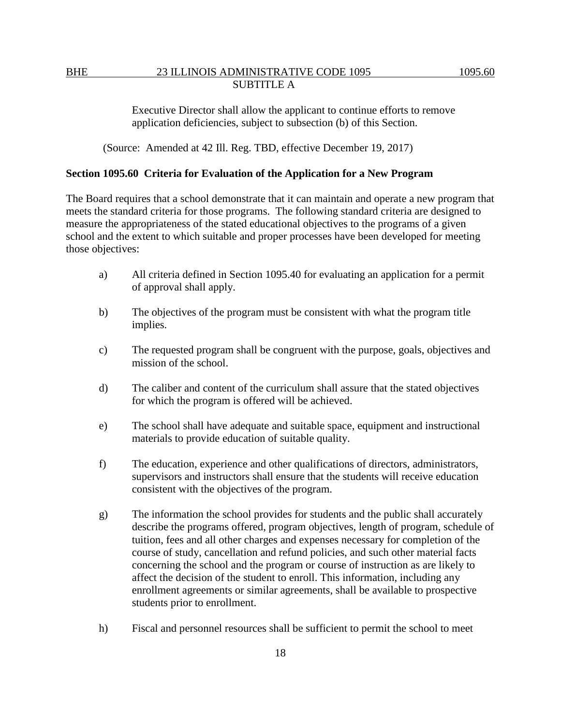Executive Director shall allow the applicant to continue efforts to remove application deficiencies, subject to subsection (b) of this Section.

(Source: Amended at 42 Ill. Reg. TBD, effective December 19, 2017)

### **Section 1095.60 Criteria for Evaluation of the Application for a New Program**

The Board requires that a school demonstrate that it can maintain and operate a new program that meets the standard criteria for those programs. The following standard criteria are designed to measure the appropriateness of the stated educational objectives to the programs of a given school and the extent to which suitable and proper processes have been developed for meeting those objectives:

- a) All criteria defined in Section 1095.40 for evaluating an application for a permit of approval shall apply.
- b) The objectives of the program must be consistent with what the program title implies.
- c) The requested program shall be congruent with the purpose, goals, objectives and mission of the school.
- d) The caliber and content of the curriculum shall assure that the stated objectives for which the program is offered will be achieved.
- e) The school shall have adequate and suitable space, equipment and instructional materials to provide education of suitable quality.
- f) The education, experience and other qualifications of directors, administrators, supervisors and instructors shall ensure that the students will receive education consistent with the objectives of the program.
- g) The information the school provides for students and the public shall accurately describe the programs offered, program objectives, length of program, schedule of tuition, fees and all other charges and expenses necessary for completion of the course of study, cancellation and refund policies, and such other material facts concerning the school and the program or course of instruction as are likely to affect the decision of the student to enroll. This information, including any enrollment agreements or similar agreements, shall be available to prospective students prior to enrollment.
- h) Fiscal and personnel resources shall be sufficient to permit the school to meet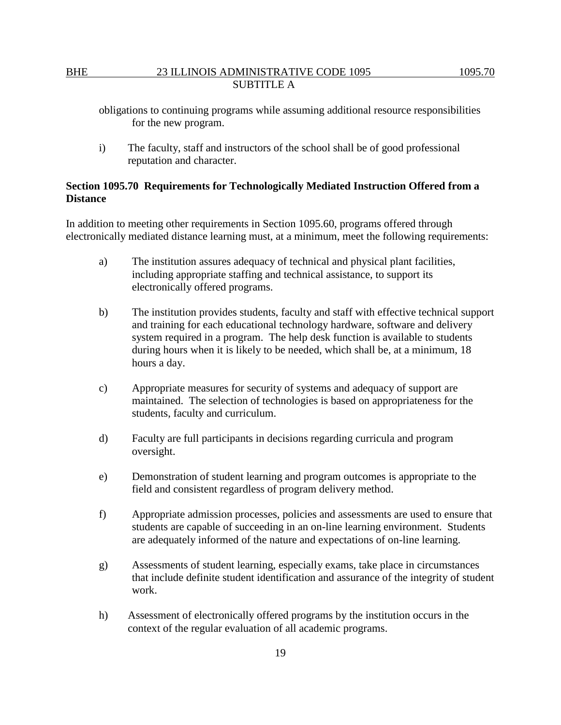obligations to continuing programs while assuming additional resource responsibilities for the new program.

i) The faculty, staff and instructors of the school shall be of good professional reputation and character.

# **Section 1095.70 Requirements for Technologically Mediated Instruction Offered from a Distance**

In addition to meeting other requirements in Section 1095.60, programs offered through electronically mediated distance learning must, at a minimum, meet the following requirements:

- a) The institution assures adequacy of technical and physical plant facilities, including appropriate staffing and technical assistance, to support its electronically offered programs.
- b) The institution provides students, faculty and staff with effective technical support and training for each educational technology hardware, software and delivery system required in a program. The help desk function is available to students during hours when it is likely to be needed, which shall be, at a minimum, 18 hours a day.
- c) Appropriate measures for security of systems and adequacy of support are maintained. The selection of technologies is based on appropriateness for the students, faculty and curriculum.
- d) Faculty are full participants in decisions regarding curricula and program oversight.
- e) Demonstration of student learning and program outcomes is appropriate to the field and consistent regardless of program delivery method.
- f) Appropriate admission processes, policies and assessments are used to ensure that students are capable of succeeding in an on-line learning environment. Students are adequately informed of the nature and expectations of on-line learning.
- g) Assessments of student learning, especially exams, take place in circumstances that include definite student identification and assurance of the integrity of student work.
- h) Assessment of electronically offered programs by the institution occurs in the context of the regular evaluation of all academic programs.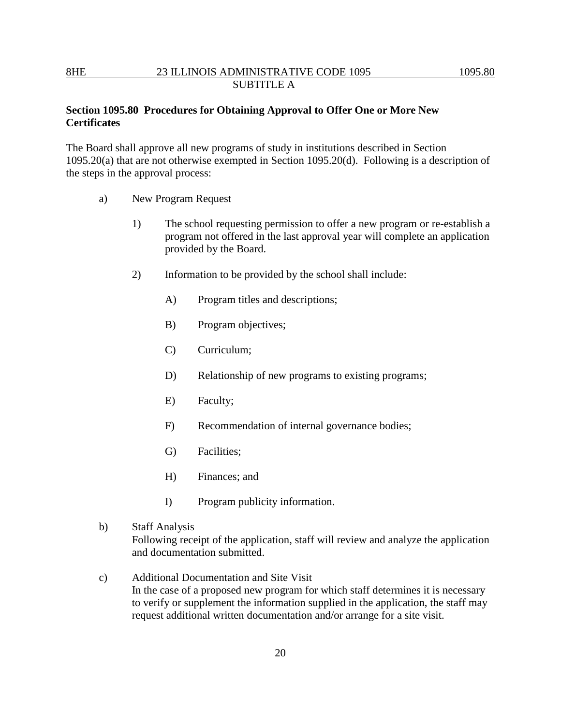# **Section 1095.80 Procedures for Obtaining Approval to Offer One or More New Certificates**

The Board shall approve all new programs of study in institutions described in Section 1095.20(a) that are not otherwise exempted in Section 1095.20(d). Following is a description of the steps in the approval process:

- a) New Program Request
	- 1) The school requesting permission to offer a new program or re-establish a program not offered in the last approval year will complete an application provided by the Board.
	- 2) Information to be provided by the school shall include:
		- A) Program titles and descriptions;
		- B) Program objectives;
		- C) Curriculum;
		- D) Relationship of new programs to existing programs;
		- E) Faculty;
		- F) Recommendation of internal governance bodies;
		- G) Facilities;
		- H) Finances; and
		- I) Program publicity information.
- b) Staff Analysis

Following receipt of the application, staff will review and analyze the application and documentation submitted.

c) Additional Documentation and Site Visit In the case of a proposed new program for which staff determines it is necessary to verify or supplement the information supplied in the application, the staff may request additional written documentation and/or arrange for a site visit.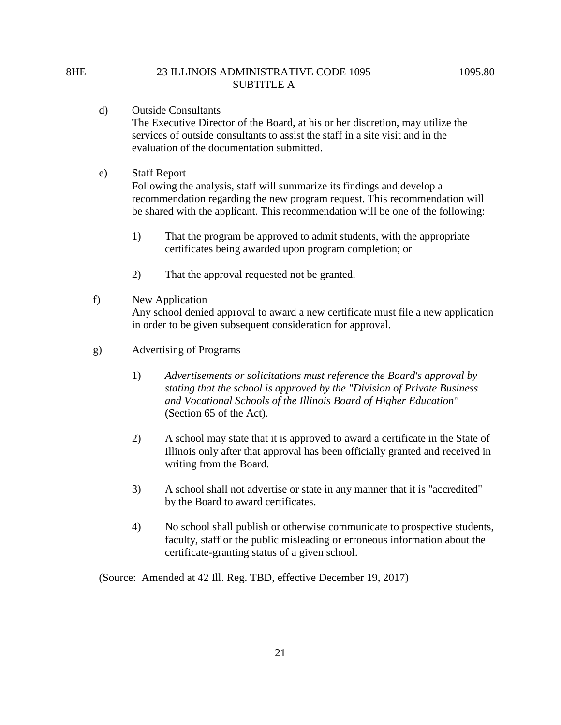- d) Outside Consultants The Executive Director of the Board, at his or her discretion, may utilize the services of outside consultants to assist the staff in a site visit and in the evaluation of the documentation submitted.
- e) Staff Report

Following the analysis, staff will summarize its findings and develop a recommendation regarding the new program request. This recommendation will be shared with the applicant. This recommendation will be one of the following:

- 1) That the program be approved to admit students, with the appropriate certificates being awarded upon program completion; or
- 2) That the approval requested not be granted.
- f) New Application Any school denied approval to award a new certificate must file a new application in order to be given subsequent consideration for approval.
- g) Advertising of Programs
	- 1) *Advertisements or solicitations must reference the Board's approval by stating that the school is approved by the "Division of Private Business and Vocational Schools of the Illinois Board of Higher Education"* (Section 65 of the Act).
	- 2) A school may state that it is approved to award a certificate in the State of Illinois only after that approval has been officially granted and received in writing from the Board.
	- 3) A school shall not advertise or state in any manner that it is "accredited" by the Board to award certificates.
	- 4) No school shall publish or otherwise communicate to prospective students, faculty, staff or the public misleading or erroneous information about the certificate-granting status of a given school.

(Source: Amended at 42 Ill. Reg. TBD, effective December 19, 2017)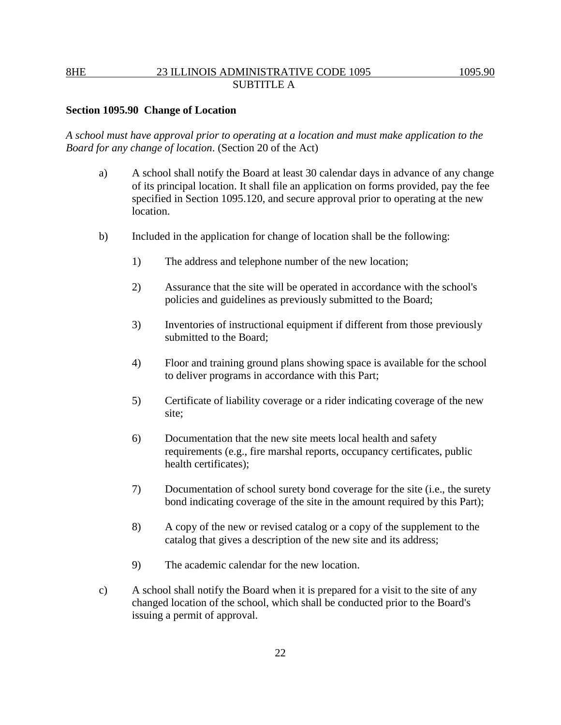## **Section 1095.90 Change of Location**

*A school must have approval prior to operating at a location and must make application to the Board for any change of location*. (Section 20 of the Act)

- a) A school shall notify the Board at least 30 calendar days in advance of any change of its principal location. It shall file an application on forms provided, pay the fee specified in Section 1095.120, and secure approval prior to operating at the new location.
- b) Included in the application for change of location shall be the following:
	- 1) The address and telephone number of the new location;
	- 2) Assurance that the site will be operated in accordance with the school's policies and guidelines as previously submitted to the Board;
	- 3) Inventories of instructional equipment if different from those previously submitted to the Board;
	- 4) Floor and training ground plans showing space is available for the school to deliver programs in accordance with this Part;
	- 5) Certificate of liability coverage or a rider indicating coverage of the new site;
	- 6) Documentation that the new site meets local health and safety requirements (e.g., fire marshal reports, occupancy certificates, public health certificates);
	- 7) Documentation of school surety bond coverage for the site (i.e., the surety bond indicating coverage of the site in the amount required by this Part);
	- 8) A copy of the new or revised catalog or a copy of the supplement to the catalog that gives a description of the new site and its address;
	- 9) The academic calendar for the new location.
- c) A school shall notify the Board when it is prepared for a visit to the site of any changed location of the school, which shall be conducted prior to the Board's issuing a permit of approval.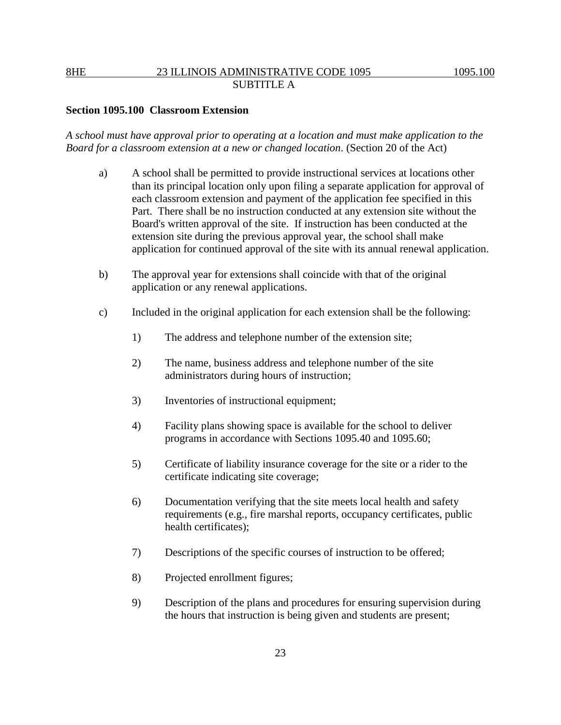## **Section 1095.100 Classroom Extension**

*A school must have approval prior to operating at a location and must make application to the Board for a classroom extension at a new or changed location*. (Section 20 of the Act)

- a) A school shall be permitted to provide instructional services at locations other than its principal location only upon filing a separate application for approval of each classroom extension and payment of the application fee specified in this Part. There shall be no instruction conducted at any extension site without the Board's written approval of the site. If instruction has been conducted at the extension site during the previous approval year, the school shall make application for continued approval of the site with its annual renewal application.
- b) The approval year for extensions shall coincide with that of the original application or any renewal applications.
- c) Included in the original application for each extension shall be the following:
	- 1) The address and telephone number of the extension site;
	- 2) The name, business address and telephone number of the site administrators during hours of instruction;
	- 3) Inventories of instructional equipment;
	- 4) Facility plans showing space is available for the school to deliver programs in accordance with Sections 1095.40 and 1095.60;
	- 5) Certificate of liability insurance coverage for the site or a rider to the certificate indicating site coverage;
	- 6) Documentation verifying that the site meets local health and safety requirements (e.g., fire marshal reports, occupancy certificates, public health certificates);
	- 7) Descriptions of the specific courses of instruction to be offered;
	- 8) Projected enrollment figures;
	- 9) Description of the plans and procedures for ensuring supervision during the hours that instruction is being given and students are present;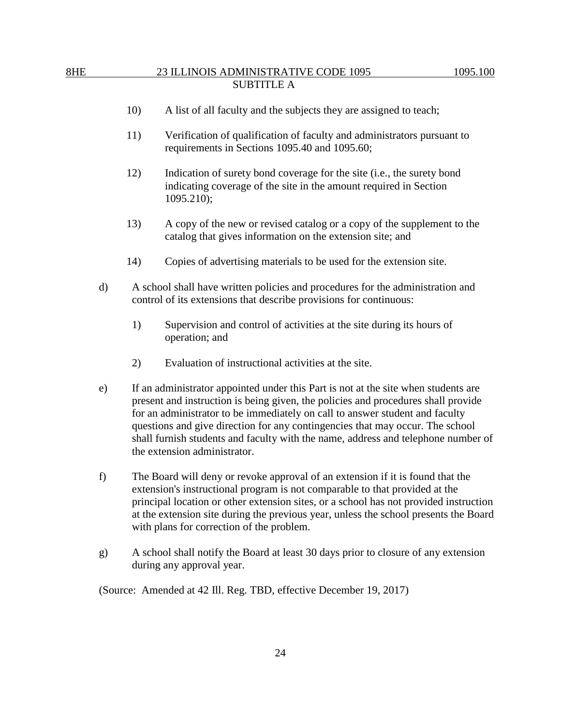- 10) A list of all faculty and the subjects they are assigned to teach;
- 11) Verification of qualification of faculty and administrators pursuant to requirements in Sections 1095.40 and 1095.60;
- 12) Indication of surety bond coverage for the site (i.e., the surety bond indicating coverage of the site in the amount required in Section 1095.210);
- 13) A copy of the new or revised catalog or a copy of the supplement to the catalog that gives information on the extension site; and
- 14) Copies of advertising materials to be used for the extension site.
- d) A school shall have written policies and procedures for the administration and control of its extensions that describe provisions for continuous:
	- 1) Supervision and control of activities at the site during its hours of operation; and
	- 2) Evaluation of instructional activities at the site.
- e) If an administrator appointed under this Part is not at the site when students are present and instruction is being given, the policies and procedures shall provide for an administrator to be immediately on call to answer student and faculty questions and give direction for any contingencies that may occur. The school shall furnish students and faculty with the name, address and telephone number of the extension administrator.
- f) The Board will deny or revoke approval of an extension if it is found that the extension's instructional program is not comparable to that provided at the principal location or other extension sites, or a school has not provided instruction at the extension site during the previous year, unless the school presents the Board with plans for correction of the problem.
- g) A school shall notify the Board at least 30 days prior to closure of any extension during any approval year.

(Source: Amended at 42 Ill. Reg. TBD, effective December 19, 2017)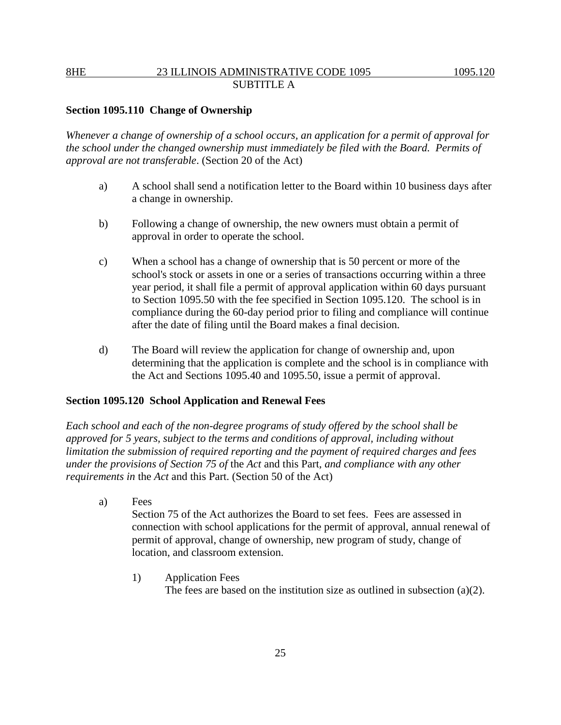### **Section 1095.110 Change of Ownership**

*Whenever a change of ownership of a school occurs, an application for a permit of approval for the school under the changed ownership must immediately be filed with the Board. Permits of approval are not transferable*. (Section 20 of the Act)

- a) A school shall send a notification letter to the Board within 10 business days after a change in ownership.
- b) Following a change of ownership, the new owners must obtain a permit of approval in order to operate the school.
- c) When a school has a change of ownership that is 50 percent or more of the school's stock or assets in one or a series of transactions occurring within a three year period, it shall file a permit of approval application within 60 days pursuant to Section 1095.50 with the fee specified in Section 1095.120. The school is in compliance during the 60-day period prior to filing and compliance will continue after the date of filing until the Board makes a final decision.
- d) The Board will review the application for change of ownership and, upon determining that the application is complete and the school is in compliance with the Act and Sections 1095.40 and 1095.50, issue a permit of approval.

### **Section 1095.120 School Application and Renewal Fees**

*Each school and each of the non-degree programs of study offered by the school shall be approved for 5 years, subject to the terms and conditions of approval, including without limitation the submission of required reporting and the payment of required charges and fees under the provisions of Section 75 of* the *Act* and this Part*, and compliance with any other requirements in* the *Act* and this Part. (Section 50 of the Act)

- a) Fees Section 75 of the Act authorizes the Board to set fees. Fees are assessed in connection with school applications for the permit of approval, annual renewal of permit of approval, change of ownership, new program of study, change of location, and classroom extension.
	- 1) Application Fees The fees are based on the institution size as outlined in subsection (a)(2).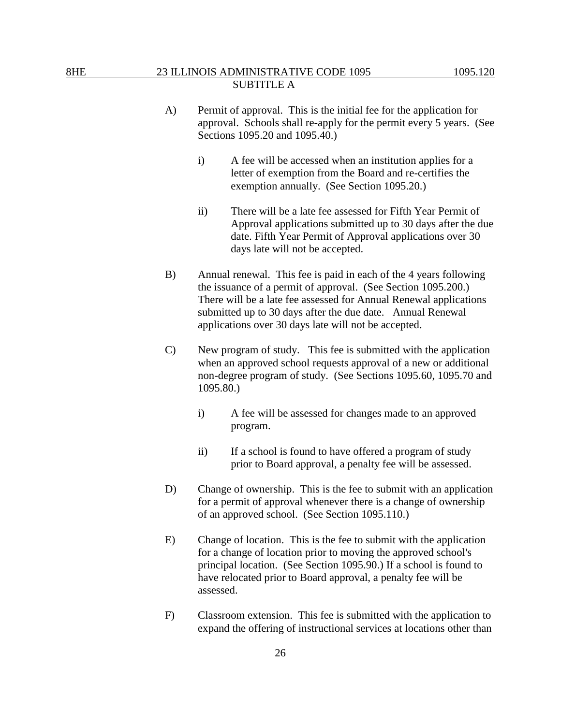- A) Permit of approval. This is the initial fee for the application for approval. Schools shall re-apply for the permit every 5 years. (See Sections 1095.20 and 1095.40.)
	- i) A fee will be accessed when an institution applies for a letter of exemption from the Board and re-certifies the exemption annually. (See Section 1095.20.)
	- ii) There will be a late fee assessed for Fifth Year Permit of Approval applications submitted up to 30 days after the due date. Fifth Year Permit of Approval applications over 30 days late will not be accepted.
- B) Annual renewal. This fee is paid in each of the 4 years following the issuance of a permit of approval. (See Section 1095.200.) There will be a late fee assessed for Annual Renewal applications submitted up to 30 days after the due date. Annual Renewal applications over 30 days late will not be accepted.
- C) New program of study. This fee is submitted with the application when an approved school requests approval of a new or additional non-degree program of study. (See Sections 1095.60, 1095.70 and 1095.80.)
	- i) A fee will be assessed for changes made to an approved program.
	- ii) If a school is found to have offered a program of study prior to Board approval, a penalty fee will be assessed.
- D) Change of ownership. This is the fee to submit with an application for a permit of approval whenever there is a change of ownership of an approved school. (See Section 1095.110.)
- E) Change of location. This is the fee to submit with the application for a change of location prior to moving the approved school's principal location. (See Section 1095.90.) If a school is found to have relocated prior to Board approval, a penalty fee will be assessed.
- F) Classroom extension. This fee is submitted with the application to expand the offering of instructional services at locations other than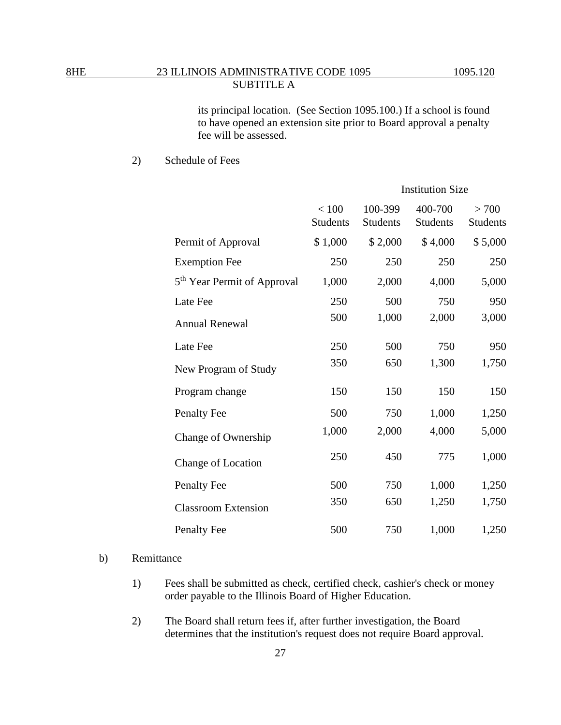its principal location. (See Section 1095.100.) If a school is found to have opened an extension site prior to Board approval a penalty fee will be assessed.

2) Schedule of Fees

|                                         | <b>Institution Size</b>  |                            |                            |                          |
|-----------------------------------------|--------------------------|----------------------------|----------------------------|--------------------------|
|                                         | < 100<br><b>Students</b> | 100-399<br><b>Students</b> | 400-700<br><b>Students</b> | > 700<br><b>Students</b> |
| Permit of Approval                      | \$1,000                  | \$2,000                    | \$4,000                    | \$5,000                  |
| <b>Exemption Fee</b>                    | 250                      | 250                        | 250                        | 250                      |
| 5 <sup>th</sup> Year Permit of Approval | 1,000                    | 2,000                      | 4,000                      | 5,000                    |
| Late Fee                                | 250                      | 500                        | 750                        | 950                      |
| <b>Annual Renewal</b>                   | 500                      | 1,000                      | 2,000                      | 3,000                    |
| Late Fee                                | 250                      | 500                        | 750                        | 950                      |
| New Program of Study                    | 350                      | 650                        | 1,300                      | 1,750                    |
| Program change                          | 150                      | 150                        | 150                        | 150                      |
| <b>Penalty Fee</b>                      | 500                      | 750                        | 1,000                      | 1,250                    |
| Change of Ownership                     | 1,000                    | 2,000                      | 4,000                      | 5,000                    |
| Change of Location                      | 250                      | 450                        | 775                        | 1,000                    |
| <b>Penalty Fee</b>                      | 500                      | 750                        | 1,000                      | 1,250                    |
| <b>Classroom Extension</b>              | 350                      | 650                        | 1,250                      | 1,750                    |
| <b>Penalty Fee</b>                      | 500                      | 750                        | 1,000                      | 1,250                    |

### b) Remittance

- 1) Fees shall be submitted as check, certified check, cashier's check or money order payable to the Illinois Board of Higher Education.
- 2) The Board shall return fees if, after further investigation, the Board determines that the institution's request does not require Board approval.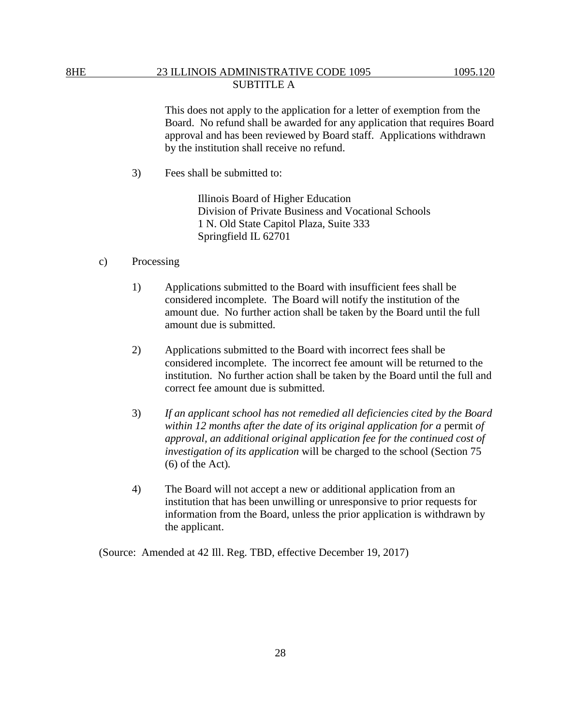This does not apply to the application for a letter of exemption from the Board. No refund shall be awarded for any application that requires Board approval and has been reviewed by Board staff. Applications withdrawn by the institution shall receive no refund.

3) Fees shall be submitted to:

Illinois Board of Higher Education Division of Private Business and Vocational Schools 1 N. Old State Capitol Plaza, Suite 333 Springfield IL 62701

- c) Processing
	- 1) Applications submitted to the Board with insufficient fees shall be considered incomplete. The Board will notify the institution of the amount due. No further action shall be taken by the Board until the full amount due is submitted.
	- 2) Applications submitted to the Board with incorrect fees shall be considered incomplete. The incorrect fee amount will be returned to the institution. No further action shall be taken by the Board until the full and correct fee amount due is submitted.
	- 3) *If an applicant school has not remedied all deficiencies cited by the Board within 12 months after the date of its original application for a permit of approval, an additional original application fee for the continued cost of investigation of its application* will be charged to the school (Section 75 (6) of the Act)*.*
	- 4) The Board will not accept a new or additional application from an institution that has been unwilling or unresponsive to prior requests for information from the Board, unless the prior application is withdrawn by the applicant.

(Source: Amended at 42 Ill. Reg. TBD, effective December 19, 2017)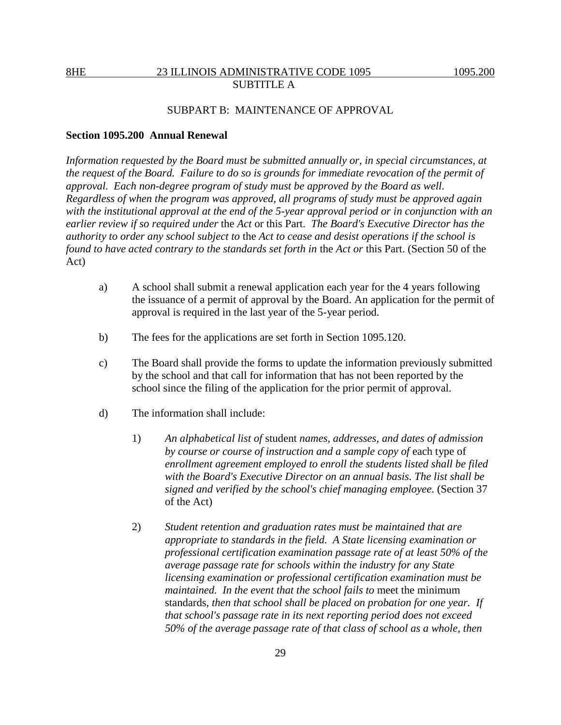## SUBPART B: MAINTENANCE OF APPROVAL

### **Section 1095.200 Annual Renewal**

*Information requested by the Board must be submitted annually or, in special circumstances, at the request of the Board. Failure to do so is grounds for immediate revocation of the permit of approval. Each non-degree program of study must be approved by the Board as well. Regardless of when the program was approved, all programs of study must be approved again with the institutional approval at the end of the 5-year approval period or in conjunction with an earlier review if so required under* the *Act* or this Part. *The Board's Executive Director has the authority to order any school subject to* the *Act to cease and desist operations if the school is found to have acted contrary to the standards set forth in* the *Act or* this Part. (Section 50 of the Act)

- a) A school shall submit a renewal application each year for the 4 years following the issuance of a permit of approval by the Board. An application for the permit of approval is required in the last year of the 5-year period.
- b) The fees for the applications are set forth in Section 1095.120.
- c) The Board shall provide the forms to update the information previously submitted by the school and that call for information that has not been reported by the school since the filing of the application for the prior permit of approval.
- d) The information shall include:
	- 1) *An alphabetical list of* student *names, addresses, and dates of admission by course or course of instruction and a sample copy of* each type of *enrollment agreement employed to enroll the students listed shall be filed with the Board's Executive Director on an annual basis. The list shall be signed and verified by the school's chief managing employee*. (Section 37 of the Act)
	- 2) *Student retention and graduation rates must be maintained that are appropriate to standards in the field. A State licensing examination or professional certification examination passage rate of at least 50% of the average passage rate for schools within the industry for any State licensing examination or professional certification examination must be maintained. In the event that the school fails to meet the minimum* standards, *then that school shall be placed on probation for one year. If that school's passage rate in its next reporting period does not exceed 50% of the average passage rate of that class of school as a whole, then*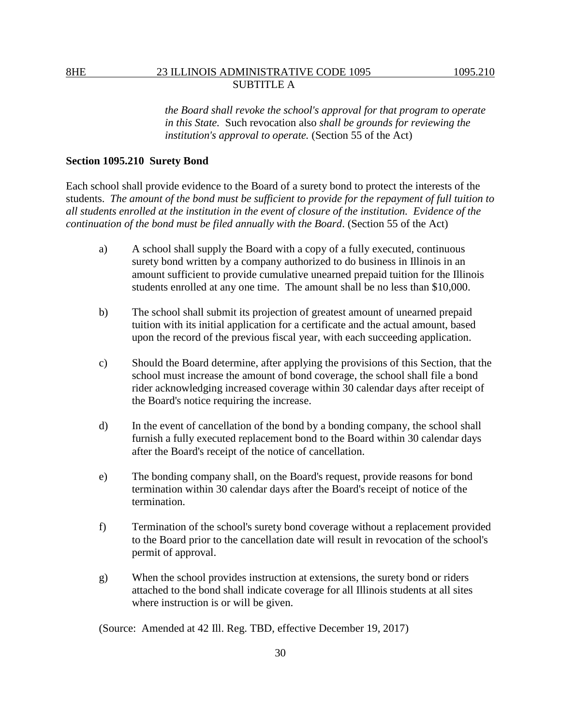*the Board shall revoke the school's approval for that program to operate in this State.* Such revocation also *shall be grounds for reviewing the institution's approval to operate.* (Section 55 of the Act)

### **Section 1095.210****Surety Bond**

Each school shall provide evidence to the Board of a surety bond to protect the interests of the students. *The amount of the bond must be sufficient to provide for the repayment of full tuition to all students enrolled at the institution in the event of closure of the institution. Evidence of the continuation of the bond must be filed annually with the Board*. (Section 55 of the Act)

- a) A school shall supply the Board with a copy of a fully executed, continuous surety bond written by a company authorized to do business in Illinois in an amount sufficient to provide cumulative unearned prepaid tuition for the Illinois students enrolled at any one time. The amount shall be no less than \$10,000.
- b) The school shall submit its projection of greatest amount of unearned prepaid tuition with its initial application for a certificate and the actual amount, based upon the record of the previous fiscal year, with each succeeding application.
- c) Should the Board determine, after applying the provisions of this Section, that the school must increase the amount of bond coverage, the school shall file a bond rider acknowledging increased coverage within 30 calendar days after receipt of the Board's notice requiring the increase.
- d) In the event of cancellation of the bond by a bonding company, the school shall furnish a fully executed replacement bond to the Board within 30 calendar days after the Board's receipt of the notice of cancellation.
- e) The bonding company shall, on the Board's request, provide reasons for bond termination within 30 calendar days after the Board's receipt of notice of the termination.
- f) Termination of the school's surety bond coverage without a replacement provided to the Board prior to the cancellation date will result in revocation of the school's permit of approval.
- g) When the school provides instruction at extensions, the surety bond or riders attached to the bond shall indicate coverage for all Illinois students at all sites where instruction is or will be given.

(Source: Amended at 42 Ill. Reg. TBD, effective December 19, 2017)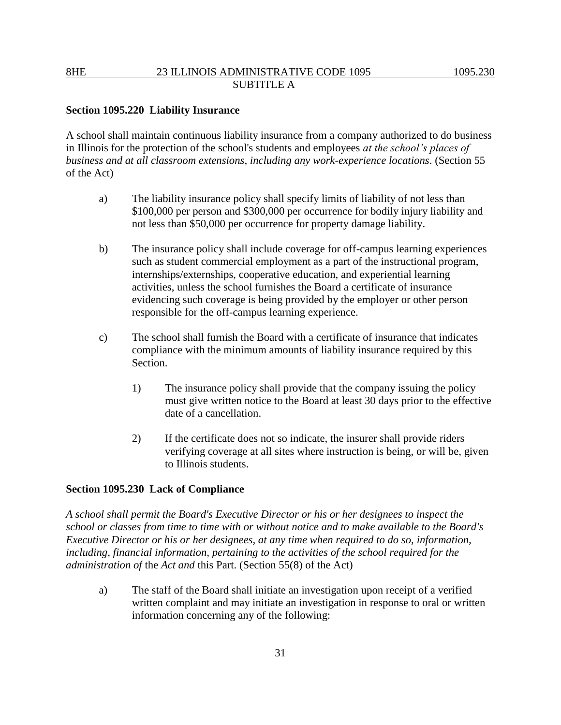## **Section 1095.220 Liability Insurance**

A school shall maintain continuous liability insurance from a company authorized to do business in Illinois for the protection of the school's students and employees *at the school's places of business and at all classroom extensions, including any work-experience locations*. (Section 55 of the Act)

- a) The liability insurance policy shall specify limits of liability of not less than \$100,000 per person and \$300,000 per occurrence for bodily injury liability and not less than \$50,000 per occurrence for property damage liability.
- b) The insurance policy shall include coverage for off-campus learning experiences such as student commercial employment as a part of the instructional program, internships/externships, cooperative education, and experiential learning activities, unless the school furnishes the Board a certificate of insurance evidencing such coverage is being provided by the employer or other person responsible for the off-campus learning experience.
- c) The school shall furnish the Board with a certificate of insurance that indicates compliance with the minimum amounts of liability insurance required by this Section.
	- 1) The insurance policy shall provide that the company issuing the policy must give written notice to the Board at least 30 days prior to the effective date of a cancellation.
	- 2) If the certificate does not so indicate, the insurer shall provide riders verifying coverage at all sites where instruction is being, or will be, given to Illinois students.

### **Section 1095.230 Lack of Compliance**

*A school shall permit the Board's Executive Director or his or her designees to inspect the school or classes from time to time with or without notice and to make available to the Board's Executive Director or his or her designees, at any time when required to do so, information, including, financial information, pertaining to the activities of the school required for the administration of* the *Act and* this Part. (Section 55(8) of the Act)

a) The staff of the Board shall initiate an investigation upon receipt of a verified written complaint and may initiate an investigation in response to oral or written information concerning any of the following: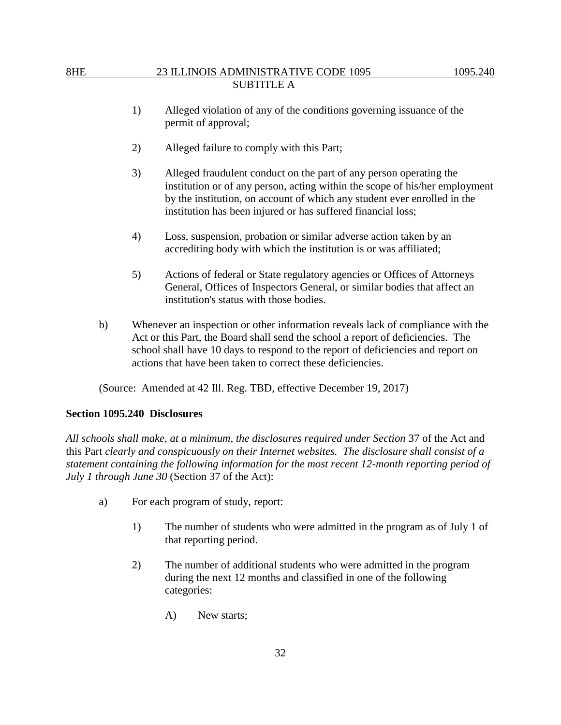- 1) Alleged violation of any of the conditions governing issuance of the permit of approval;
- 2) Alleged failure to comply with this Part;
- 3) Alleged fraudulent conduct on the part of any person operating the institution or of any person, acting within the scope of his/her employment by the institution, on account of which any student ever enrolled in the institution has been injured or has suffered financial loss;
- 4) Loss, suspension, probation or similar adverse action taken by an accrediting body with which the institution is or was affiliated;
- 5) Actions of federal or State regulatory agencies or Offices of Attorneys General, Offices of Inspectors General, or similar bodies that affect an institution's status with those bodies.
- b) Whenever an inspection or other information reveals lack of compliance with the Act or this Part, the Board shall send the school a report of deficiencies. The school shall have 10 days to respond to the report of deficiencies and report on actions that have been taken to correct these deficiencies.

(Source: Amended at 42 Ill. Reg. TBD, effective December 19, 2017)

## **Section 1095.240 Disclosures**

*All schools shall make, at a minimum, the disclosures required under Section* 37 of the Act and this Part *clearly and conspicuously on their Internet websites. The disclosure shall consist of a statement containing the following information for the most recent 12-month reporting period of July 1 through June 30* (Section 37 of the Act):

- a) For each program of study, report:
	- 1) The number of students who were admitted in the program as of July 1 of that reporting period.
	- 2) The number of additional students who were admitted in the program during the next 12 months and classified in one of the following categories:
		- A) New starts;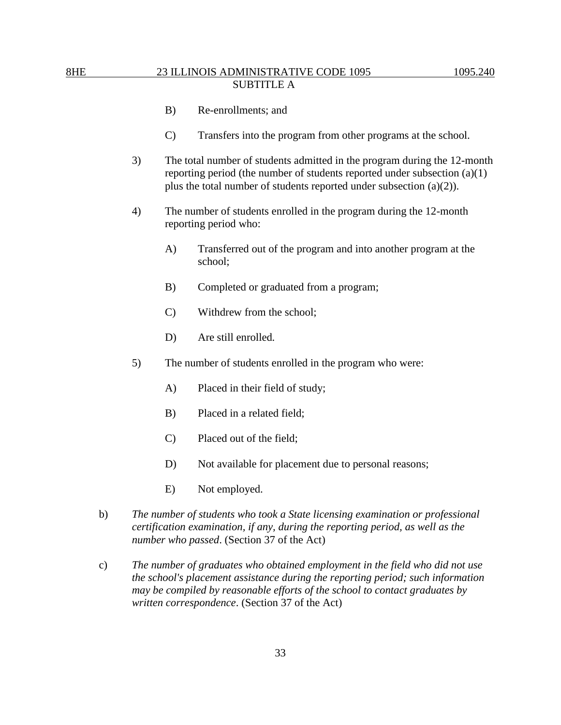- B) Re-enrollments; and
- C) Transfers into the program from other programs at the school.
- 3) The total number of students admitted in the program during the 12-month reporting period (the number of students reported under subsection (a)(1) plus the total number of students reported under subsection (a)(2)).
- 4) The number of students enrolled in the program during the 12-month reporting period who:
	- A) Transferred out of the program and into another program at the school;
	- B) Completed or graduated from a program;
	- C) Withdrew from the school;
	- D) Are still enrolled*.*
- 5) The number of students enrolled in the program who were:
	- A) Placed in their field of study;
	- B) Placed in a related field;
	- C) Placed out of the field;
	- D) Not available for placement due to personal reasons;
	- E) Not employed.
- b) *The number of students who took a State licensing examination or professional certification examination, if any, during the reporting period, as well as the number who passed*. (Section 37 of the Act)
- c) *The number of graduates who obtained employment in the field who did not use the school's placement assistance during the reporting period; such information may be compiled by reasonable efforts of the school to contact graduates by written correspondence*. (Section 37 of the Act)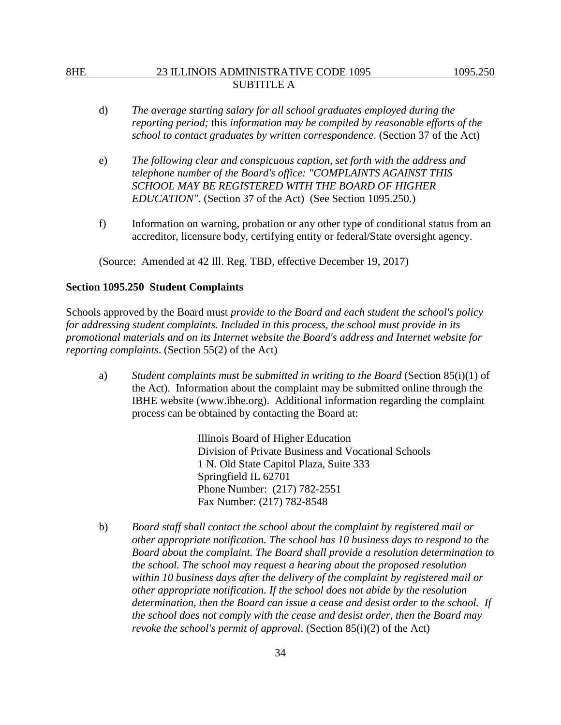- d) *The average starting salary for all school graduates employed during the reporting period;* this *information may be compiled by reasonable efforts of the school to contact graduates by written correspondence*. (Section 37 of the Act)
- e) *The following clear and conspicuous caption, set forth with the address and telephone number of the Board's office: "COMPLAINTS AGAINST THIS SCHOOL MAY BE REGISTERED WITH THE BOARD OF HIGHER EDUCATION"*. (Section 37 of the Act) (See Section 1095.250.)
- f) Information on warning, probation or any other type of conditional status from an accreditor, licensure body, certifying entity or federal/State oversight agency.

(Source: Amended at 42 Ill. Reg. TBD, effective December 19, 2017)

### **Section 1095.250 Student Complaints**

Schools approved by the Board must *provide to the Board and each student the school's policy for addressing student complaints. Included in this process, the school must provide in its promotional materials and on its Internet website the Board's address and Internet website for reporting complaints*. (Section 55(2) of the Act)

a) *Student complaints must be submitted in writing to the Board* (Section 85(i)(1) of the Act). Information about the complaint may be submitted online through the IBHE website (www.ibhe.org). Additional information regarding the complaint process can be obtained by contacting the Board at:

> Illinois Board of Higher Education Division of Private Business and Vocational Schools 1 N. Old State Capitol Plaza, Suite 333 Springfield IL 62701 Phone Number: (217) 782-2551 Fax Number: (217) 782-8548

b) *Board staff shall contact the school about the complaint by registered mail or other appropriate notification. The school has 10 business days to respond to the Board about the complaint. The Board shall provide a resolution determination to the school. The school may request a hearing about the proposed resolution within 10 business days after the delivery of the complaint by registered mail or other appropriate notification. If the school does not abide by the resolution determination, then the Board can issue a cease and desist order to the school. If the school does not comply with the cease and desist order, then the Board may revoke the school's permit of approval*. (Section 85(i)(2) of the Act)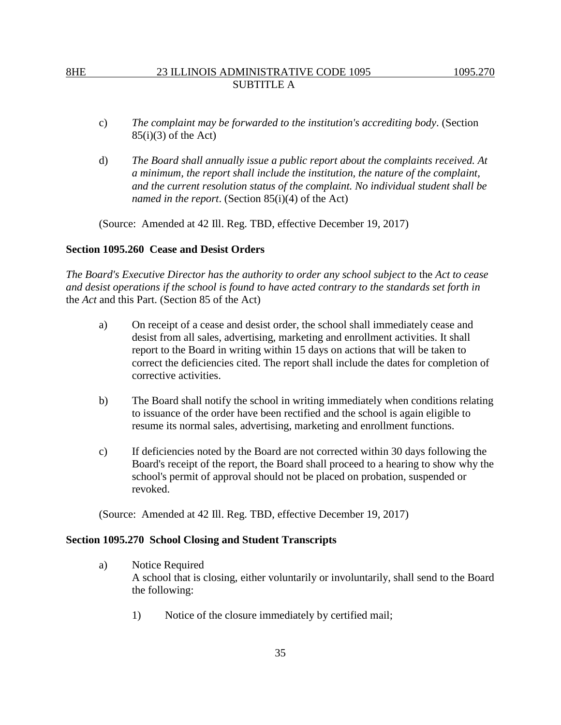- c) *The complaint may be forwarded to the institution's accrediting body*. (Section  $85(i)(3)$  of the Act)
- d) *The Board shall annually issue a public report about the complaints received. At a minimum, the report shall include the institution, the nature of the complaint, and the current resolution status of the complaint. No individual student shall be named in the report*. (Section 85(i)(4) of the Act)

(Source: Amended at 42 Ill. Reg. TBD, effective December 19, 2017)

### **Section 1095.260 Cease and Desist Orders**

*The Board's Executive Director has the authority to order any school subject to the Act to cease and desist operations if the school is found to have acted contrary to the standards set forth in*  the *Act* and this Part. (Section 85 of the Act)

- a) On receipt of a cease and desist order, the school shall immediately cease and desist from all sales, advertising, marketing and enrollment activities. It shall report to the Board in writing within 15 days on actions that will be taken to correct the deficiencies cited. The report shall include the dates for completion of corrective activities.
- b) The Board shall notify the school in writing immediately when conditions relating to issuance of the order have been rectified and the school is again eligible to resume its normal sales, advertising, marketing and enrollment functions.
- c) If deficiencies noted by the Board are not corrected within 30 days following the Board's receipt of the report, the Board shall proceed to a hearing to show why the school's permit of approval should not be placed on probation, suspended or revoked.

(Source: Amended at 42 Ill. Reg. TBD, effective December 19, 2017)

### **Section 1095.270 School Closing and Student Transcripts**

- a) Notice Required A school that is closing, either voluntarily or involuntarily, shall send to the Board the following:
	- 1) Notice of the closure immediately by certified mail;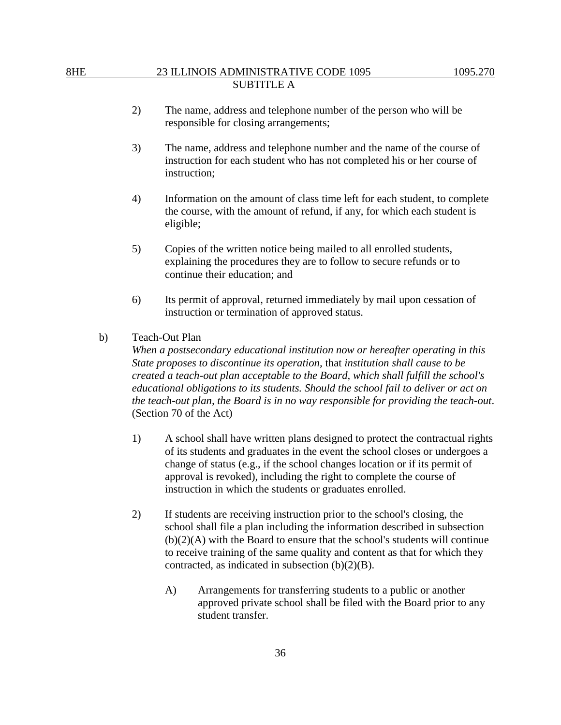- 2) The name, address and telephone number of the person who will be responsible for closing arrangements;
- 3) The name, address and telephone number and the name of the course of instruction for each student who has not completed his or her course of instruction;
- 4) Information on the amount of class time left for each student, to complete the course, with the amount of refund, if any, for which each student is eligible;
- 5) Copies of the written notice being mailed to all enrolled students, explaining the procedures they are to follow to secure refunds or to continue their education; and
- 6) Its permit of approval, returned immediately by mail upon cessation of instruction or termination of approved status.
- b) Teach-Out Plan

*When a postsecondary educational institution now or hereafter operating in this State proposes to discontinue its operation,* that *institution shall cause to be created a teach-out plan acceptable to the Board, which shall fulfill the school's educational obligations to its students. Should the school fail to deliver or act on the teach-out plan, the Board is in no way responsible for providing the teach-out*. (Section 70 of the Act)

- 1) A school shall have written plans designed to protect the contractual rights of its students and graduates in the event the school closes or undergoes a change of status (e.g., if the school changes location or if its permit of approval is revoked), including the right to complete the course of instruction in which the students or graduates enrolled.
- 2) If students are receiving instruction prior to the school's closing, the school shall file a plan including the information described in subsection (b)(2)(A) with the Board to ensure that the school's students will continue to receive training of the same quality and content as that for which they contracted, as indicated in subsection (b)(2)(B).
	- A) Arrangements for transferring students to a public or another approved private school shall be filed with the Board prior to any student transfer.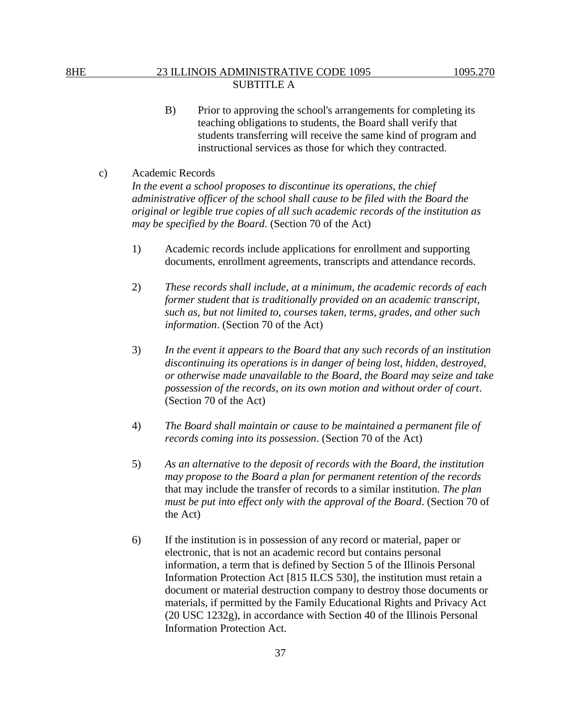- B) Prior to approving the school's arrangements for completing its teaching obligations to students, the Board shall verify that students transferring will receive the same kind of program and instructional services as those for which they contracted.
- c) Academic Records *In the event a school proposes to discontinue its operations, the chief administrative officer of the school shall cause to be filed with the Board the original or legible true copies of all such academic records of the institution as may be specified by the Board*. (Section 70 of the Act)
	- 1) Academic records include applications for enrollment and supporting documents, enrollment agreements, transcripts and attendance records.
	- 2) *These records shall include, at a minimum, the academic records of each former student that is traditionally provided on an academic transcript, such as, but not limited to, courses taken, terms, grades, and other such information*. (Section 70 of the Act)
	- 3) *In the event it appears to the Board that any such records of an institution discontinuing its operations is in danger of being lost, hidden, destroyed, or otherwise made unavailable to the Board, the Board may seize and take possession of the records, on its own motion and without order of court*. (Section 70 of the Act)
	- 4) *The Board shall maintain or cause to be maintained a permanent file of records coming into its possession*. (Section 70 of the Act)
	- 5) *As an alternative to the deposit of records with the Board, the institution may propose to the Board a plan for permanent retention of the records* that may include the transfer of records to a similar institution*. The plan must be put into effect only with the approval of the Board*. (Section 70 of the Act)
	- 6) If the institution is in possession of any record or material, paper or electronic, that is not an academic record but contains personal information, a term that is defined by Section 5 of the Illinois Personal Information Protection Act [815 ILCS 530], the institution must retain a document or material destruction company to destroy those documents or materials, if permitted by the Family Educational Rights and Privacy Act (20 USC 1232g), in accordance with Section 40 of the Illinois Personal Information Protection Act.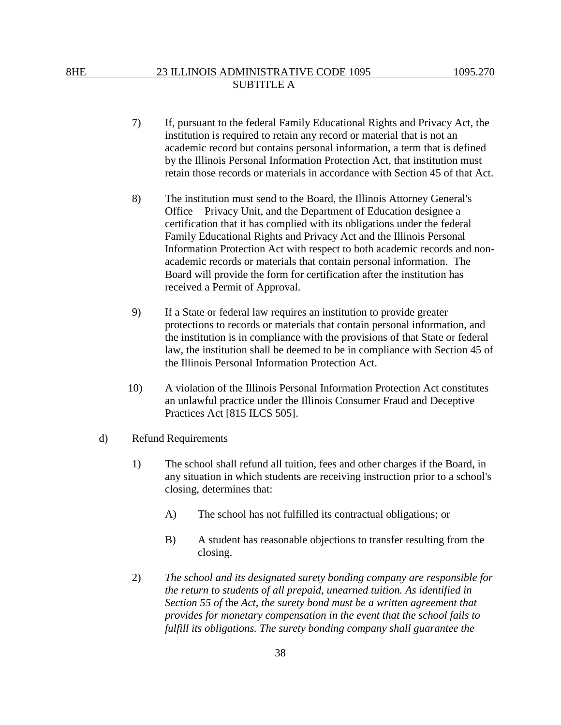- 7) If, pursuant to the federal Family Educational Rights and Privacy Act, the institution is required to retain any record or material that is not an academic record but contains personal information, a term that is defined by the Illinois Personal Information Protection Act, that institution must retain those records or materials in accordance with Section 45 of that Act.
- 8) The institution must send to the Board, the Illinois Attorney General's Office − Privacy Unit, and the Department of Education designee a certification that it has complied with its obligations under the federal Family Educational Rights and Privacy Act and the Illinois Personal Information Protection Act with respect to both academic records and nonacademic records or materials that contain personal information. The Board will provide the form for certification after the institution has received a Permit of Approval.
- 9) If a State or federal law requires an institution to provide greater protections to records or materials that contain personal information, and the institution is in compliance with the provisions of that State or federal law, the institution shall be deemed to be in compliance with Section 45 of the Illinois Personal Information Protection Act.
- 10) A violation of the Illinois Personal Information Protection Act constitutes an unlawful practice under the Illinois Consumer Fraud and Deceptive Practices Act [815 ILCS 505].
- d) Refund Requirements
	- 1) The school shall refund all tuition, fees and other charges if the Board, in any situation in which students are receiving instruction prior to a school's closing, determines that:
		- A) The school has not fulfilled its contractual obligations; or
		- B) A student has reasonable objections to transfer resulting from the closing.
	- 2) *The school and its designated surety bonding company are responsible for the return to students of all prepaid, unearned tuition. As identified in Section 55 of* the *Act, the surety bond must be a written agreement that provides for monetary compensation in the event that the school fails to fulfill its obligations. The surety bonding company shall guarantee the*